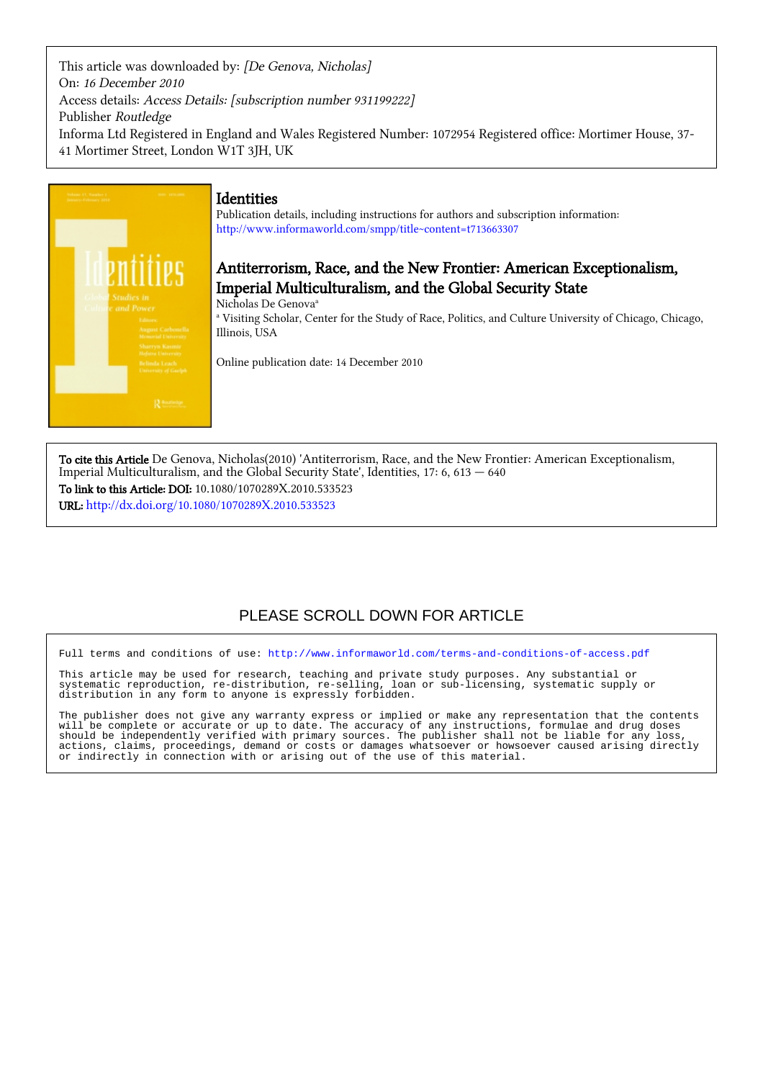This article was downloaded by: [De Genova, Nicholas] On: 16 December 2010 Access details: Access Details: [subscription number 931199222] Publisher Routledge Informa Ltd Registered in England and Wales Registered Number: 1072954 Registered office: Mortimer House, 37- 41 Mortimer Street, London W1T 3JH, UK



#### **Identities**

Publication details, including instructions for authors and subscription information: <http://www.informaworld.com/smpp/title~content=t713663307>

## Antiterrorism, Race, and the New Frontier: American Exceptionalism, Imperial Multiculturalism, and the Global Security State

Nicholas De Genova<sup>a</sup>

a Visiting Scholar, Center for the Study of Race, Politics, and Culture University of Chicago, Chicago, Illinois, USA

Online publication date: 14 December 2010

To cite this Article De Genova, Nicholas(2010) 'Antiterrorism, Race, and the New Frontier: American Exceptionalism, Imperial Multiculturalism, and the Global Security State', Identities, 17: 6, 613 — 640 To link to this Article: DOI: 10.1080/1070289X.2010.533523 URL: <http://dx.doi.org/10.1080/1070289X.2010.533523>

# PLEASE SCROLL DOWN FOR ARTICLE

Full terms and conditions of use:<http://www.informaworld.com/terms-and-conditions-of-access.pdf>

This article may be used for research, teaching and private study purposes. Any substantial or systematic reproduction, re-distribution, re-selling, loan or sub-licensing, systematic supply or distribution in any form to anyone is expressly forbidden.

The publisher does not give any warranty express or implied or make any representation that the contents will be complete or accurate or up to date. The accuracy of any instructions, formulae and drug doses should be independently verified with primary sources. The publisher shall not be liable for any loss, actions, claims, proceedings, demand or costs or damages whatsoever or howsoever caused arising directly or indirectly in connection with or arising out of the use of this material.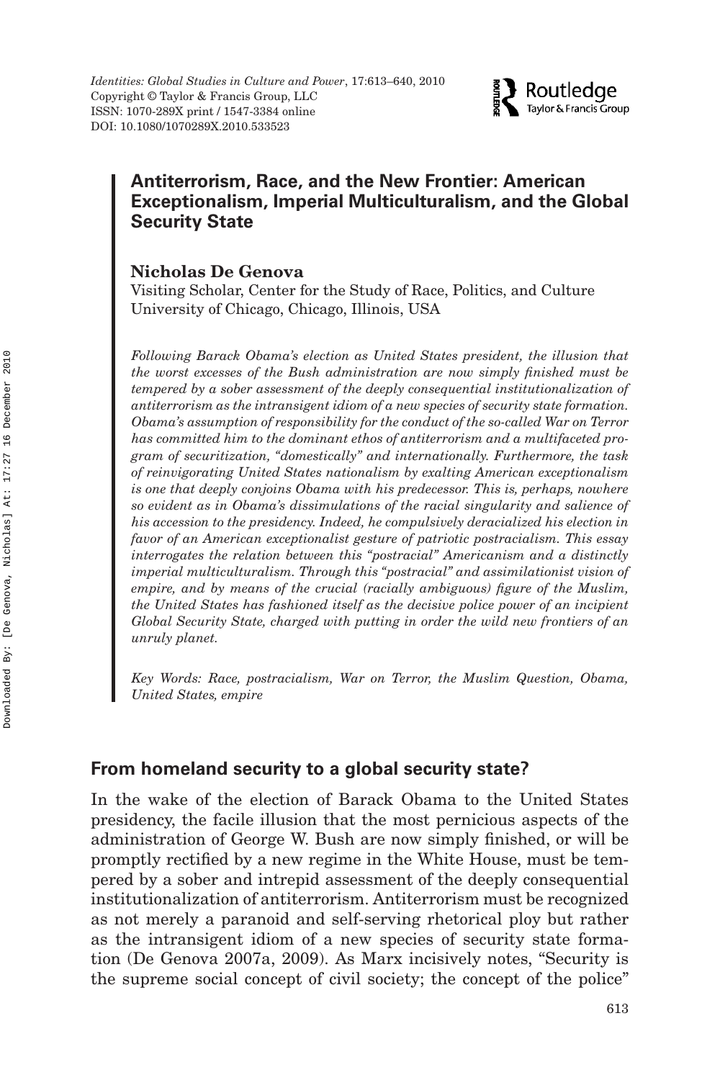

## **Antiterrorism, Race, and the New Frontier: American Exceptionalism, Imperial Multiculturalism, and the Global Security State**

#### **Nicholas De Genova**

Visiting Scholar, Center for the Study of Race, Politics, and Culture University of Chicago, Chicago, Illinois, USA

*Following Barack Obama's election as United States president, the illusion that the worst excesses of the Bush administration are now simply finished must be tempered by a sober assessment of the deeply consequential institutionalization of antiterrorism as the intransigent idiom of a new species of security state formation. Obama's assumption of responsibility for the conduct of the so-called War on Terror has committed him to the dominant ethos of antiterrorism and a multifaceted program of securitization, "domestically" and internationally. Furthermore, the task of reinvigorating United States nationalism by exalting American exceptionalism is one that deeply conjoins Obama with his predecessor. This is, perhaps, nowhere so evident as in Obama's dissimulations of the racial singularity and salience of his accession to the presidency. Indeed, he compulsively deracialized his election in favor of an American exceptionalist gesture of patriotic postracialism. This essay interrogates the relation between this "postracial" Americanism and a distinctly imperial multiculturalism. Through this "postracial" and assimilationist vision of empire, and by means of the crucial (racially ambiguous) figure of the Muslim, the United States has fashioned itself as the decisive police power of an incipient Global Security State, charged with putting in order the wild new frontiers of an unruly planet.*

*Key Words: Race, postracialism, War on Terror, the Muslim Question, Obama, United States, empire*

## **From homeland security to a global security state?**

In the wake of the election of Barack Obama to the United States presidency, the facile illusion that the most pernicious aspects of the administration of George W. Bush are now simply finished, or will be promptly rectified by a new regime in the White House, must be tempered by a sober and intrepid assessment of the deeply consequential institutionalization of antiterrorism. Antiterrorism must be recognized as not merely a paranoid and self-serving rhetorical ploy but rather as the intransigent idiom of a new species of security state formation (De Genova 2007a, 2009). As Marx incisively notes, "Security is the supreme social concept of civil society; the concept of the police"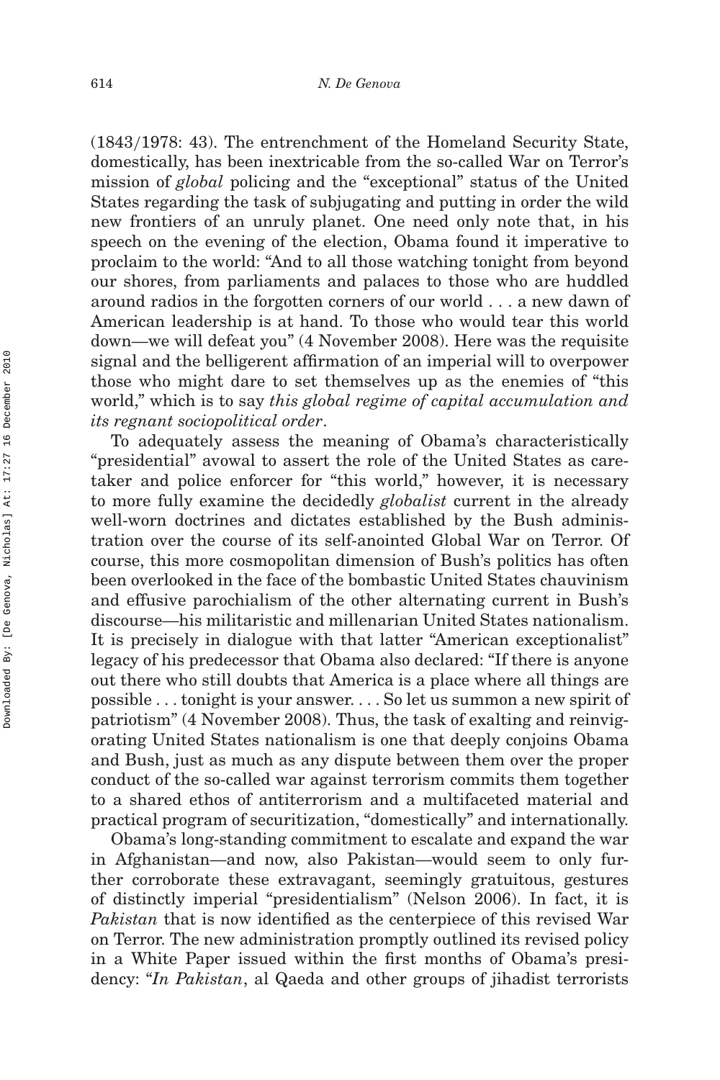(1843*/*1978: 43). The entrenchment of the Homeland Security State, domestically, has been inextricable from the so-called War on Terror's mission of *global* policing and the "exceptional" status of the United States regarding the task of subjugating and putting in order the wild new frontiers of an unruly planet. One need only note that, in his speech on the evening of the election, Obama found it imperative to proclaim to the world: "And to all those watching tonight from beyond our shores, from parliaments and palaces to those who are huddled around radios in the forgotten corners of our world . . . a new dawn of American leadership is at hand. To those who would tear this world down—we will defeat you" (4 November 2008). Here was the requisite signal and the belligerent affirmation of an imperial will to overpower those who might dare to set themselves up as the enemies of "this world," which is to say *this global regime of capital accumulation and its regnant sociopolitical order*.

To adequately assess the meaning of Obama's characteristically "presidential" avowal to assert the role of the United States as caretaker and police enforcer for "this world," however, it is necessary to more fully examine the decidedly *globalist* current in the already well-worn doctrines and dictates established by the Bush administration over the course of its self-anointed Global War on Terror. Of course, this more cosmopolitan dimension of Bush's politics has often been overlooked in the face of the bombastic United States chauvinism and effusive parochialism of the other alternating current in Bush's discourse—his militaristic and millenarian United States nationalism. It is precisely in dialogue with that latter "American exceptionalist" legacy of his predecessor that Obama also declared: "If there is anyone out there who still doubts that America is a place where all things are possible . . . tonight is your answer. . . . So let us summon a new spirit of patriotism" (4 November 2008). Thus, the task of exalting and reinvigorating United States nationalism is one that deeply conjoins Obama and Bush, just as much as any dispute between them over the proper conduct of the so-called war against terrorism commits them together to a shared ethos of antiterrorism and a multifaceted material and practical program of securitization, "domestically" and internationally.

Obama's long-standing commitment to escalate and expand the war in Afghanistan—and now, also Pakistan—would seem to only further corroborate these extravagant, seemingly gratuitous, gestures of distinctly imperial "presidentialism" (Nelson 2006). In fact, it is *Pakistan* that is now identified as the centerpiece of this revised War on Terror. The new administration promptly outlined its revised policy in a White Paper issued within the first months of Obama's presidency: "*In Pakistan*, al Qaeda and other groups of jihadist terrorists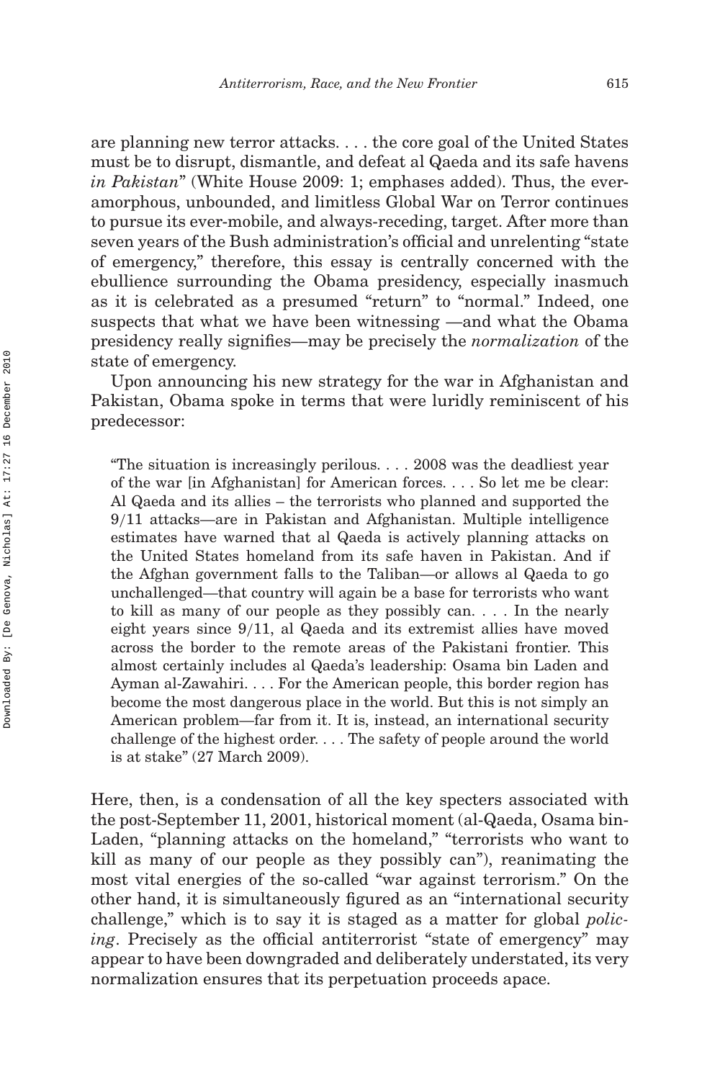are planning new terror attacks. . . . the core goal of the United States must be to disrupt, dismantle, and defeat al Qaeda and its safe havens *in Pakistan*" (White House 2009: 1; emphases added). Thus, the everamorphous, unbounded, and limitless Global War on Terror continues to pursue its ever-mobile, and always-receding, target. After more than seven years of the Bush administration's official and unrelenting "state of emergency," therefore, this essay is centrally concerned with the ebullience surrounding the Obama presidency, especially inasmuch as it is celebrated as a presumed "return" to "normal." Indeed, one suspects that what we have been witnessing —and what the Obama presidency really signifies—may be precisely the *normalization* of the state of emergency.

Upon announcing his new strategy for the war in Afghanistan and Pakistan, Obama spoke in terms that were luridly reminiscent of his predecessor:

"The situation is increasingly perilous. . . . 2008 was the deadliest year of the war [in Afghanistan] for American forces. . . . So let me be clear: Al Qaeda and its allies – the terrorists who planned and supported the 9*/*11 attacks—are in Pakistan and Afghanistan. Multiple intelligence estimates have warned that al Qaeda is actively planning attacks on the United States homeland from its safe haven in Pakistan. And if the Afghan government falls to the Taliban—or allows al Qaeda to go unchallenged—that country will again be a base for terrorists who want to kill as many of our people as they possibly can. . . . In the nearly eight years since 9*/*11, al Qaeda and its extremist allies have moved across the border to the remote areas of the Pakistani frontier. This almost certainly includes al Qaeda's leadership: Osama bin Laden and Ayman al-Zawahiri. . . . For the American people, this border region has become the most dangerous place in the world. But this is not simply an American problem—far from it. It is, instead, an international security challenge of the highest order. . . . The safety of people around the world is at stake" (27 March 2009).

Here, then, is a condensation of all the key specters associated with the post-September 11, 2001, historical moment (al-Qaeda, Osama bin-Laden, "planning attacks on the homeland," "terrorists who want to kill as many of our people as they possibly can"), reanimating the most vital energies of the so-called "war against terrorism." On the other hand, it is simultaneously figured as an "international security challenge," which is to say it is staged as a matter for global *policing*. Precisely as the official antiterrorist "state of emergency" may appear to have been downgraded and deliberately understated, its very normalization ensures that its perpetuation proceeds apace.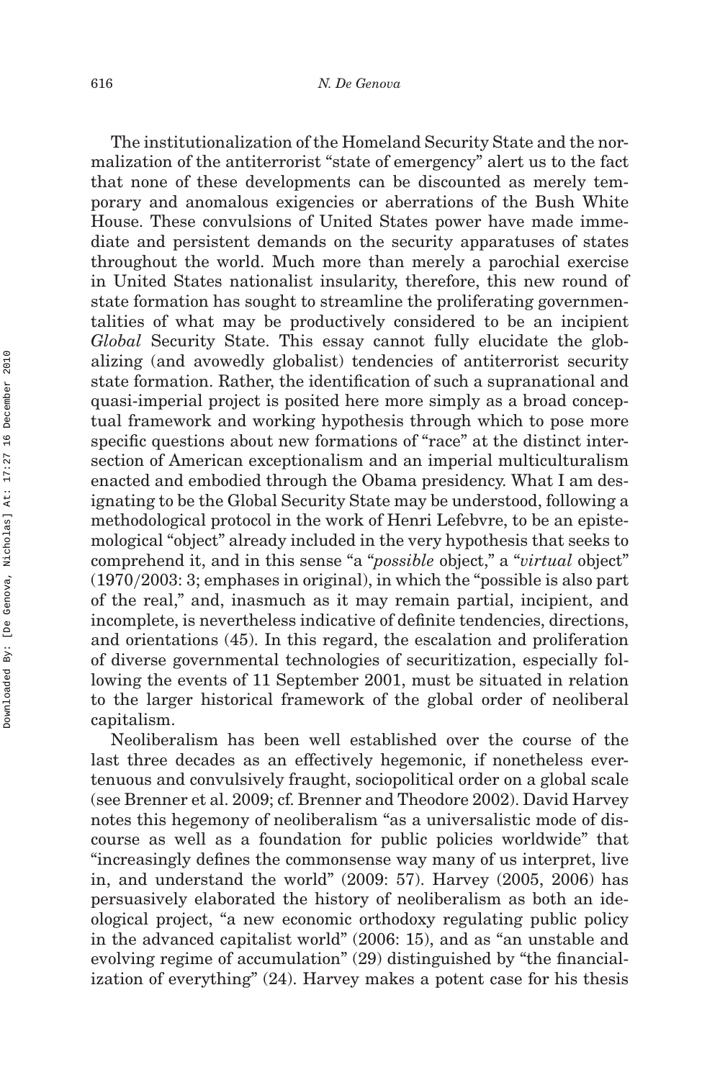The institutionalization of the Homeland Security State and the normalization of the antiterrorist "state of emergency" alert us to the fact that none of these developments can be discounted as merely temporary and anomalous exigencies or aberrations of the Bush White House. These convulsions of United States power have made immediate and persistent demands on the security apparatuses of states throughout the world. Much more than merely a parochial exercise in United States nationalist insularity, therefore, this new round of state formation has sought to streamline the proliferating governmentalities of what may be productively considered to be an incipient *Global* Security State. This essay cannot fully elucidate the globalizing (and avowedly globalist) tendencies of antiterrorist security state formation. Rather, the identification of such a supranational and quasi-imperial project is posited here more simply as a broad conceptual framework and working hypothesis through which to pose more specific questions about new formations of "race" at the distinct intersection of American exceptionalism and an imperial multiculturalism enacted and embodied through the Obama presidency. What I am designating to be the Global Security State may be understood, following a methodological protocol in the work of Henri Lefebvre, to be an epistemological "object" already included in the very hypothesis that seeks to comprehend it, and in this sense "a "*possible* object," a "*virtual* object" (1970*/*2003: 3; emphases in original), in which the "possible is also part of the real," and, inasmuch as it may remain partial, incipient, and incomplete, is nevertheless indicative of definite tendencies, directions, and orientations (45). In this regard, the escalation and proliferation of diverse governmental technologies of securitization, especially following the events of 11 September 2001, must be situated in relation to the larger historical framework of the global order of neoliberal capitalism.

Neoliberalism has been well established over the course of the last three decades as an effectively hegemonic, if nonetheless evertenuous and convulsively fraught, sociopolitical order on a global scale (see Brenner et al. 2009; cf. Brenner and Theodore 2002). David Harvey notes this hegemony of neoliberalism "as a universalistic mode of discourse as well as a foundation for public policies worldwide" that "increasingly defines the commonsense way many of us interpret, live in, and understand the world" (2009: 57). Harvey (2005, 2006) has persuasively elaborated the history of neoliberalism as both an ideological project, "a new economic orthodoxy regulating public policy in the advanced capitalist world" (2006: 15), and as "an unstable and evolving regime of accumulation" (29) distinguished by "the financialization of everything" (24). Harvey makes a potent case for his thesis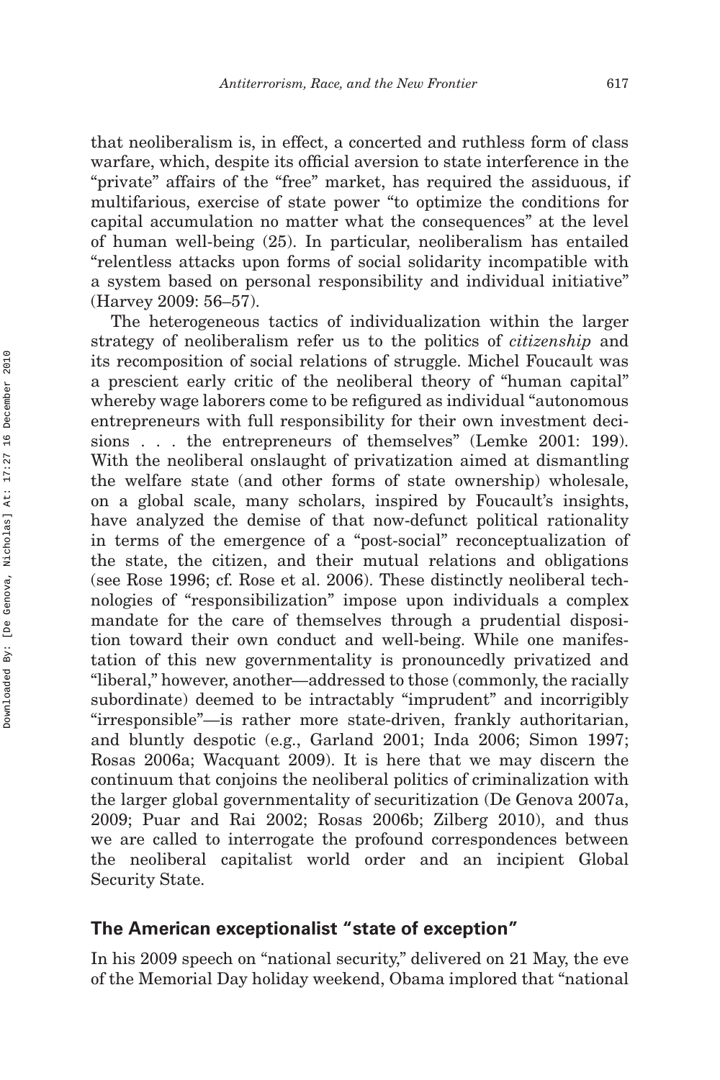that neoliberalism is, in effect, a concerted and ruthless form of class warfare, which, despite its official aversion to state interference in the "private" affairs of the "free" market, has required the assiduous, if multifarious, exercise of state power "to optimize the conditions for capital accumulation no matter what the consequences" at the level of human well-being (25). In particular, neoliberalism has entailed "relentless attacks upon forms of social solidarity incompatible with a system based on personal responsibility and individual initiative" (Harvey 2009: 56–57).

The heterogeneous tactics of individualization within the larger strategy of neoliberalism refer us to the politics of *citizenship* and its recomposition of social relations of struggle. Michel Foucault was a prescient early critic of the neoliberal theory of "human capital" whereby wage laborers come to be refigured as individual "autonomous entrepreneurs with full responsibility for their own investment decisions . . . the entrepreneurs of themselves" (Lemke 2001: 199). With the neoliberal onslaught of privatization aimed at dismantling the welfare state (and other forms of state ownership) wholesale, on a global scale, many scholars, inspired by Foucault's insights, have analyzed the demise of that now-defunct political rationality in terms of the emergence of a "post-social" reconceptualization of the state, the citizen, and their mutual relations and obligations (see Rose 1996; cf. Rose et al. 2006). These distinctly neoliberal technologies of "responsibilization" impose upon individuals a complex mandate for the care of themselves through a prudential disposition toward their own conduct and well-being. While one manifestation of this new governmentality is pronouncedly privatized and "liberal," however, another—addressed to those (commonly, the racially subordinate) deemed to be intractably "imprudent" and incorrigibly "irresponsible"—is rather more state-driven, frankly authoritarian, and bluntly despotic (e.g., Garland 2001; Inda 2006; Simon 1997; Rosas 2006a; Wacquant 2009). It is here that we may discern the continuum that conjoins the neoliberal politics of criminalization with the larger global governmentality of securitization (De Genova 2007a, 2009; Puar and Rai 2002; Rosas 2006b; Zilberg 2010), and thus we are called to interrogate the profound correspondences between the neoliberal capitalist world order and an incipient Global Security State.

#### **The American exceptionalist "state of exception"**

In his 2009 speech on "national security," delivered on 21 May, the eve of the Memorial Day holiday weekend, Obama implored that "national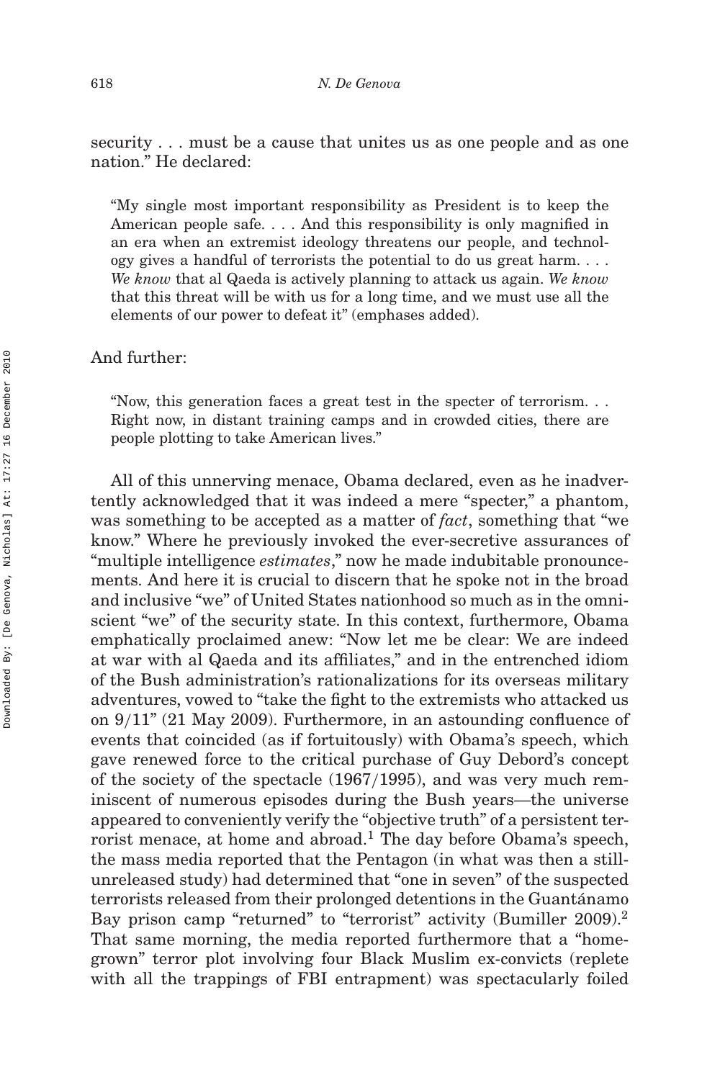security . . . must be a cause that unites us as one people and as one nation." He declared:

"My single most important responsibility as President is to keep the American people safe. . . . And this responsibility is only magnified in an era when an extremist ideology threatens our people, and technology gives a handful of terrorists the potential to do us great harm. . . . *We know* that al Qaeda is actively planning to attack us again. *We know* that this threat will be with us for a long time, and we must use all the elements of our power to defeat it" (emphases added).

#### And further:

"Now, this generation faces a great test in the specter of terrorism. . . Right now, in distant training camps and in crowded cities, there are people plotting to take American lives."

All of this unnerving menace, Obama declared, even as he inadvertently acknowledged that it was indeed a mere "specter," a phantom, was something to be accepted as a matter of *fact*, something that "we know." Where he previously invoked the ever-secretive assurances of "multiple intelligence *estimates*," now he made indubitable pronouncements. And here it is crucial to discern that he spoke not in the broad and inclusive "we" of United States nationhood so much as in the omniscient "we" of the security state. In this context, furthermore, Obama emphatically proclaimed anew: "Now let me be clear: We are indeed at war with al Qaeda and its affiliates," and in the entrenched idiom of the Bush administration's rationalizations for its overseas military adventures, vowed to "take the fight to the extremists who attacked us on 9*/*11" (21 May 2009). Furthermore, in an astounding confluence of events that coincided (as if fortuitously) with Obama's speech, which gave renewed force to the critical purchase of Guy Debord's concept of the society of the spectacle (1967*/*1995), and was very much reminiscent of numerous episodes during the Bush years—the universe appeared to conveniently verify the "objective truth" of a persistent terrorist menace, at home and abroad.<sup>1</sup> The day before Obama's speech, the mass media reported that the Pentagon (in what was then a stillunreleased study) had determined that "one in seven" of the suspected terrorists released from their prolonged detentions in the Guantánamo Bay prison camp "returned" to "terrorist" activity (Bumiller 2009).<sup>2</sup> That same morning, the media reported furthermore that a "homegrown" terror plot involving four Black Muslim ex-convicts (replete with all the trappings of FBI entrapment) was spectacularly foiled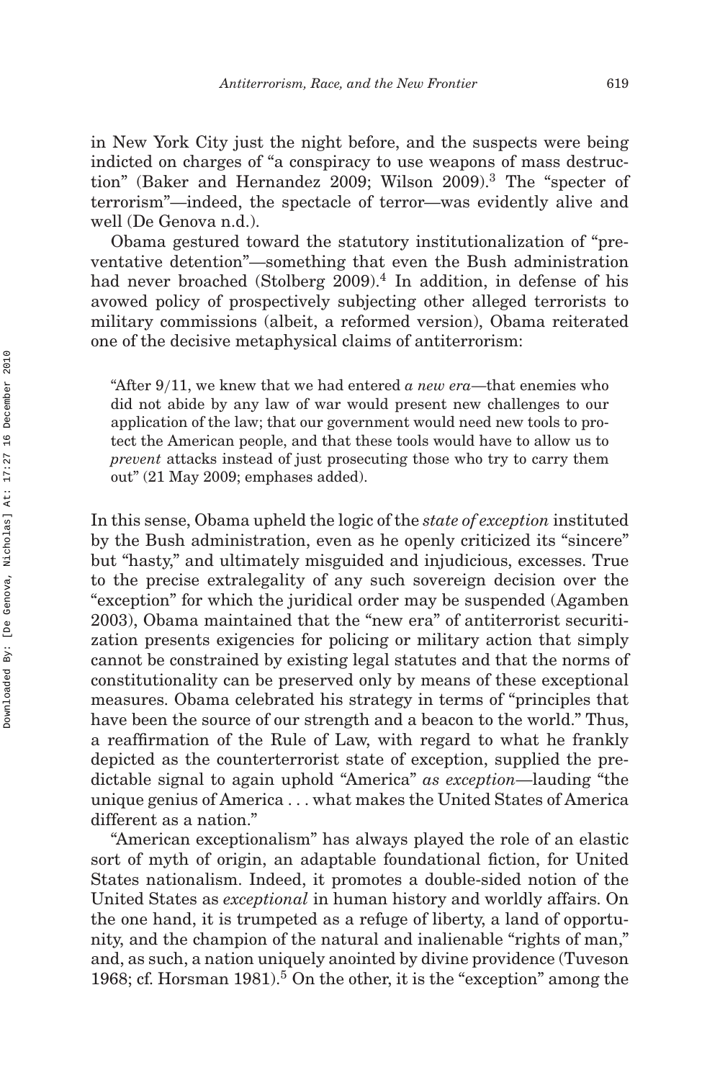in New York City just the night before, and the suspects were being indicted on charges of "a conspiracy to use weapons of mass destruction" (Baker and Hernandez 2009; Wilson 2009).3 The "specter of terrorism"—indeed, the spectacle of terror—was evidently alive and well (De Genova n.d.).

Obama gestured toward the statutory institutionalization of "preventative detention"—something that even the Bush administration had never broached (Stolberg 2009).<sup>4</sup> In addition, in defense of his avowed policy of prospectively subjecting other alleged terrorists to military commissions (albeit, a reformed version), Obama reiterated one of the decisive metaphysical claims of antiterrorism:

"After 9*/*11, we knew that we had entered *a new era*—that enemies who did not abide by any law of war would present new challenges to our application of the law; that our government would need new tools to protect the American people, and that these tools would have to allow us to *prevent* attacks instead of just prosecuting those who try to carry them out" (21 May 2009; emphases added).

In this sense, Obama upheld the logic of the *state of exception* instituted by the Bush administration, even as he openly criticized its "sincere" but "hasty," and ultimately misguided and injudicious, excesses. True to the precise extralegality of any such sovereign decision over the "exception" for which the juridical order may be suspended (Agamben 2003), Obama maintained that the "new era" of antiterrorist securitization presents exigencies for policing or military action that simply cannot be constrained by existing legal statutes and that the norms of constitutionality can be preserved only by means of these exceptional measures. Obama celebrated his strategy in terms of "principles that have been the source of our strength and a beacon to the world." Thus, a reaffirmation of the Rule of Law, with regard to what he frankly depicted as the counterterrorist state of exception, supplied the predictable signal to again uphold "America" *as exception*—lauding "the unique genius of America . . . what makes the United States of America different as a nation."

"American exceptionalism" has always played the role of an elastic sort of myth of origin, an adaptable foundational fiction, for United States nationalism. Indeed, it promotes a double-sided notion of the United States as *exceptional* in human history and worldly affairs. On the one hand, it is trumpeted as a refuge of liberty, a land of opportunity, and the champion of the natural and inalienable "rights of man," and, as such, a nation uniquely anointed by divine providence (Tuveson 1968; cf. Horsman  $1981$ <sup>5</sup>. On the other, it is the "exception" among the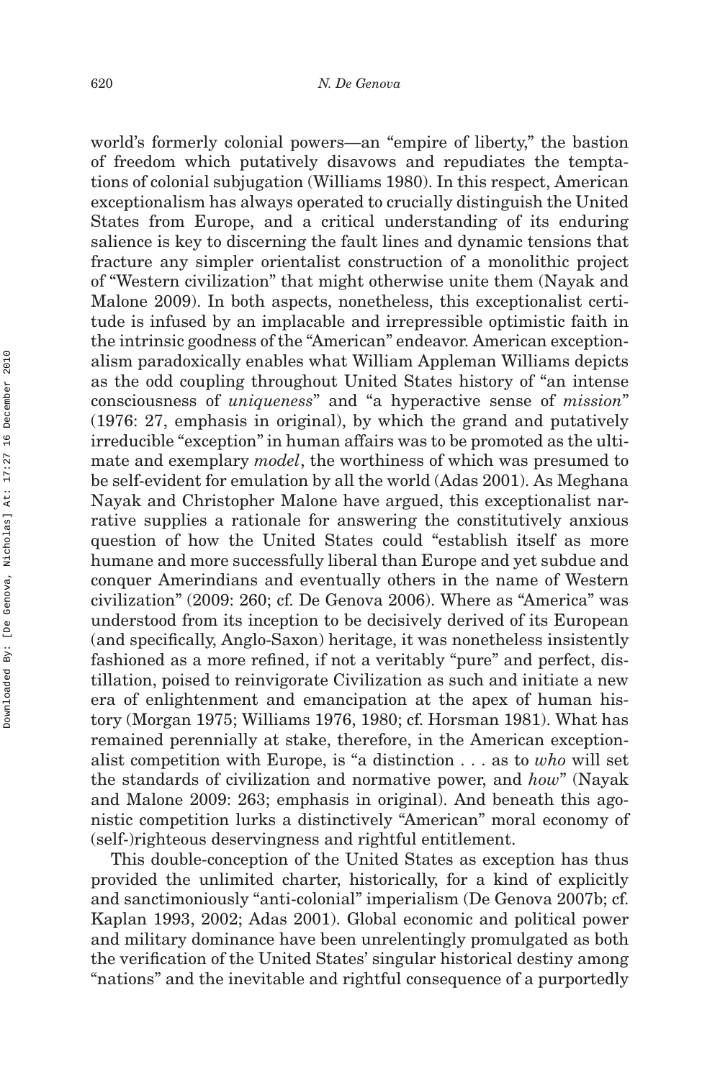world's formerly colonial powers—an "empire of liberty," the bastion of freedom which putatively disavows and repudiates the temptations of colonial subjugation (Williams 1980). In this respect, American exceptionalism has always operated to crucially distinguish the United States from Europe, and a critical understanding of its enduring salience is key to discerning the fault lines and dynamic tensions that fracture any simpler orientalist construction of a monolithic project of "Western civilization" that might otherwise unite them (Nayak and Malone 2009). In both aspects, nonetheless, this exceptionalist certitude is infused by an implacable and irrepressible optimistic faith in the intrinsic goodness of the "American" endeavor. American exceptionalism paradoxically enables what William Appleman Williams depicts as the odd coupling throughout United States history of "an intense consciousness of *uniqueness*" and "a hyperactive sense of *mission*" (1976: 27, emphasis in original), by which the grand and putatively irreducible "exception" in human affairs was to be promoted as the ultimate and exemplary *model*, the worthiness of which was presumed to be self-evident for emulation by all the world (Adas 2001). As Meghana Nayak and Christopher Malone have argued, this exceptionalist narrative supplies a rationale for answering the constitutively anxious question of how the United States could "establish itself as more humane and more successfully liberal than Europe and yet subdue and conquer Amerindians and eventually others in the name of Western civilization" (2009: 260; cf. De Genova 2006). Where as "America" was understood from its inception to be decisively derived of its European (and specifically, Anglo-Saxon) heritage, it was nonetheless insistently fashioned as a more refined, if not a veritably "pure" and perfect, distillation, poised to reinvigorate Civilization as such and initiate a new era of enlightenment and emancipation at the apex of human history (Morgan 1975; Williams 1976, 1980; cf. Horsman 1981). What has remained perennially at stake, therefore, in the American exceptionalist competition with Europe, is "a distinction . . . as to *who* will set the standards of civilization and normative power, and *how*" (Nayak and Malone 2009: 263; emphasis in original). And beneath this agonistic competition lurks a distinctively "American" moral economy of (self-)righteous deservingness and rightful entitlement.

This double-conception of the United States as exception has thus provided the unlimited charter, historically, for a kind of explicitly and sanctimoniously "anti-colonial" imperialism (De Genova 2007b; cf. Kaplan 1993, 2002; Adas 2001). Global economic and political power and military dominance have been unrelentingly promulgated as both the verification of the United States' singular historical destiny among "nations" and the inevitable and rightful consequence of a purportedly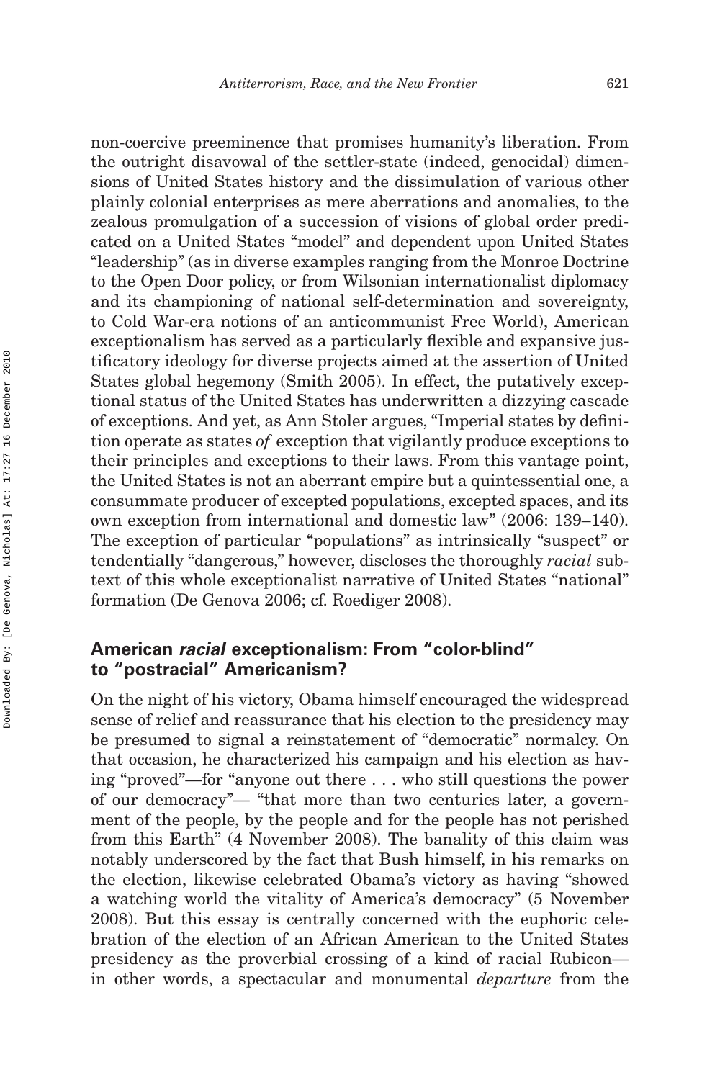non-coercive preeminence that promises humanity's liberation. From the outright disavowal of the settler-state (indeed, genocidal) dimensions of United States history and the dissimulation of various other plainly colonial enterprises as mere aberrations and anomalies, to the zealous promulgation of a succession of visions of global order predicated on a United States "model" and dependent upon United States "leadership" (as in diverse examples ranging from the Monroe Doctrine to the Open Door policy, or from Wilsonian internationalist diplomacy and its championing of national self-determination and sovereignty, to Cold War-era notions of an anticommunist Free World), American exceptionalism has served as a particularly flexible and expansive justificatory ideology for diverse projects aimed at the assertion of United States global hegemony (Smith 2005). In effect, the putatively exceptional status of the United States has underwritten a dizzying cascade of exceptions. And yet, as Ann Stoler argues, "Imperial states by definition operate as states *of* exception that vigilantly produce exceptions to their principles and exceptions to their laws. From this vantage point, the United States is not an aberrant empire but a quintessential one, a consummate producer of excepted populations, excepted spaces, and its own exception from international and domestic law" (2006: 139–140). The exception of particular "populations" as intrinsically "suspect" or tendentially "dangerous," however, discloses the thoroughly *racial* subtext of this whole exceptionalist narrative of United States "national" formation (De Genova 2006; cf. Roediger 2008).

### **American** *racial* **exceptionalism: From "color-blind" to "postracial" Americanism?**

On the night of his victory, Obama himself encouraged the widespread sense of relief and reassurance that his election to the presidency may be presumed to signal a reinstatement of "democratic" normalcy. On that occasion, he characterized his campaign and his election as having "proved"—for "anyone out there . . . who still questions the power of our democracy"— "that more than two centuries later, a government of the people, by the people and for the people has not perished from this Earth" (4 November 2008). The banality of this claim was notably underscored by the fact that Bush himself, in his remarks on the election, likewise celebrated Obama's victory as having "showed a watching world the vitality of America's democracy" (5 November 2008). But this essay is centrally concerned with the euphoric celebration of the election of an African American to the United States presidency as the proverbial crossing of a kind of racial Rubicon in other words, a spectacular and monumental *departure* from the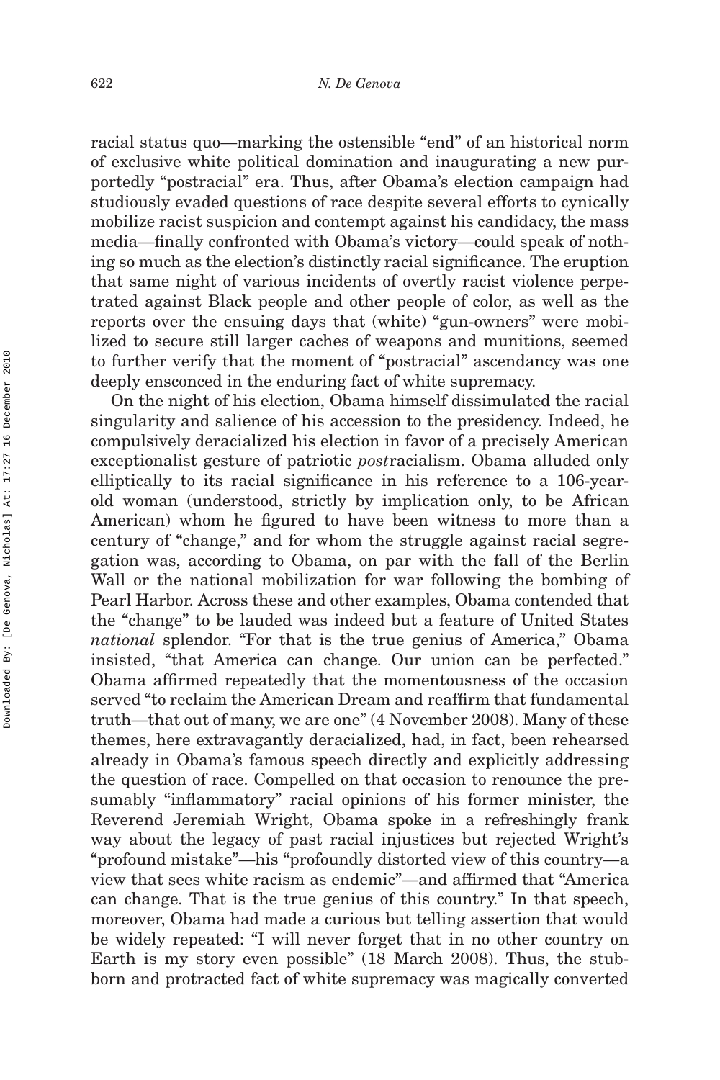racial status quo—marking the ostensible "end" of an historical norm of exclusive white political domination and inaugurating a new purportedly "postracial" era. Thus, after Obama's election campaign had studiously evaded questions of race despite several efforts to cynically mobilize racist suspicion and contempt against his candidacy, the mass media—finally confronted with Obama's victory—could speak of nothing so much as the election's distinctly racial significance. The eruption that same night of various incidents of overtly racist violence perpetrated against Black people and other people of color, as well as the reports over the ensuing days that (white) "gun-owners" were mobilized to secure still larger caches of weapons and munitions, seemed to further verify that the moment of "postracial" ascendancy was one deeply ensconced in the enduring fact of white supremacy.

On the night of his election, Obama himself dissimulated the racial singularity and salience of his accession to the presidency. Indeed, he compulsively deracialized his election in favor of a precisely American exceptionalist gesture of patriotic *post*racialism. Obama alluded only elliptically to its racial significance in his reference to a 106-yearold woman (understood, strictly by implication only, to be African American) whom he figured to have been witness to more than a century of "change," and for whom the struggle against racial segregation was, according to Obama, on par with the fall of the Berlin Wall or the national mobilization for war following the bombing of Pearl Harbor. Across these and other examples, Obama contended that the "change" to be lauded was indeed but a feature of United States *national* splendor. "For that is the true genius of America," Obama insisted, "that America can change. Our union can be perfected." Obama affirmed repeatedly that the momentousness of the occasion served "to reclaim the American Dream and reaffirm that fundamental truth—that out of many, we are one" (4 November 2008). Many of these themes, here extravagantly deracialized, had, in fact, been rehearsed already in Obama's famous speech directly and explicitly addressing the question of race. Compelled on that occasion to renounce the presumably "inflammatory" racial opinions of his former minister, the Reverend Jeremiah Wright, Obama spoke in a refreshingly frank way about the legacy of past racial injustices but rejected Wright's "profound mistake"—his "profoundly distorted view of this country—a view that sees white racism as endemic"—and affirmed that "America can change. That is the true genius of this country." In that speech, moreover, Obama had made a curious but telling assertion that would be widely repeated: "I will never forget that in no other country on Earth is my story even possible" (18 March 2008). Thus, the stubborn and protracted fact of white supremacy was magically converted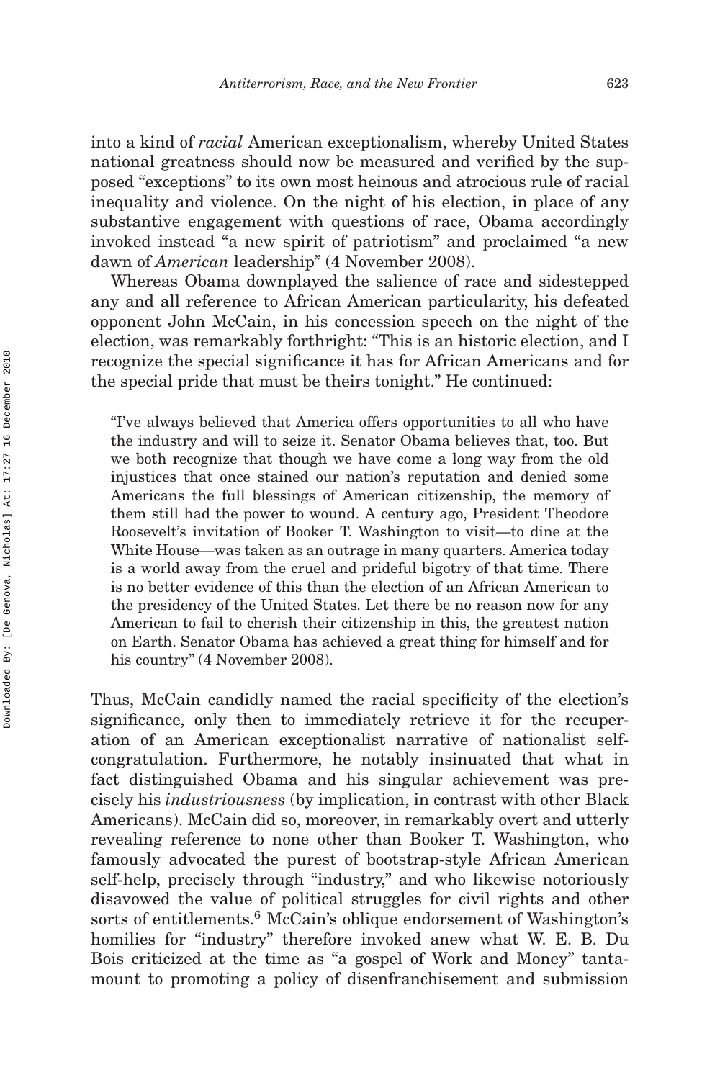into a kind of *racial* American exceptionalism, whereby United States national greatness should now be measured and verified by the supposed "exceptions" to its own most heinous and atrocious rule of racial inequality and violence. On the night of his election, in place of any substantive engagement with questions of race, Obama accordingly invoked instead "a new spirit of patriotism" and proclaimed "a new dawn of *American* leadership" (4 November 2008).

Whereas Obama downplayed the salience of race and sidestepped any and all reference to African American particularity, his defeated opponent John McCain, in his concession speech on the night of the election, was remarkably forthright: "This is an historic election, and I recognize the special significance it has for African Americans and for the special pride that must be theirs tonight." He continued:

"I've always believed that America offers opportunities to all who have the industry and will to seize it. Senator Obama believes that, too. But we both recognize that though we have come a long way from the old injustices that once stained our nation's reputation and denied some Americans the full blessings of American citizenship, the memory of them still had the power to wound. A century ago, President Theodore Roosevelt's invitation of Booker T. Washington to visit—to dine at the White House—was taken as an outrage in many quarters. America today is a world away from the cruel and prideful bigotry of that time. There is no better evidence of this than the election of an African American to the presidency of the United States. Let there be no reason now for any American to fail to cherish their citizenship in this, the greatest nation on Earth. Senator Obama has achieved a great thing for himself and for his country" (4 November 2008).

Thus, McCain candidly named the racial specificity of the election's significance, only then to immediately retrieve it for the recuperation of an American exceptionalist narrative of nationalist selfcongratulation. Furthermore, he notably insinuated that what in fact distinguished Obama and his singular achievement was precisely his *industriousness* (by implication, in contrast with other Black Americans). McCain did so, moreover, in remarkably overt and utterly revealing reference to none other than Booker T. Washington, who famously advocated the purest of bootstrap-style African American self-help, precisely through "industry," and who likewise notoriously disavowed the value of political struggles for civil rights and other sorts of entitlements.<sup>6</sup> McCain's oblique endorsement of Washington's homilies for "industry" therefore invoked anew what W. E. B. Du Bois criticized at the time as "a gospel of Work and Money" tantamount to promoting a policy of disenfranchisement and submission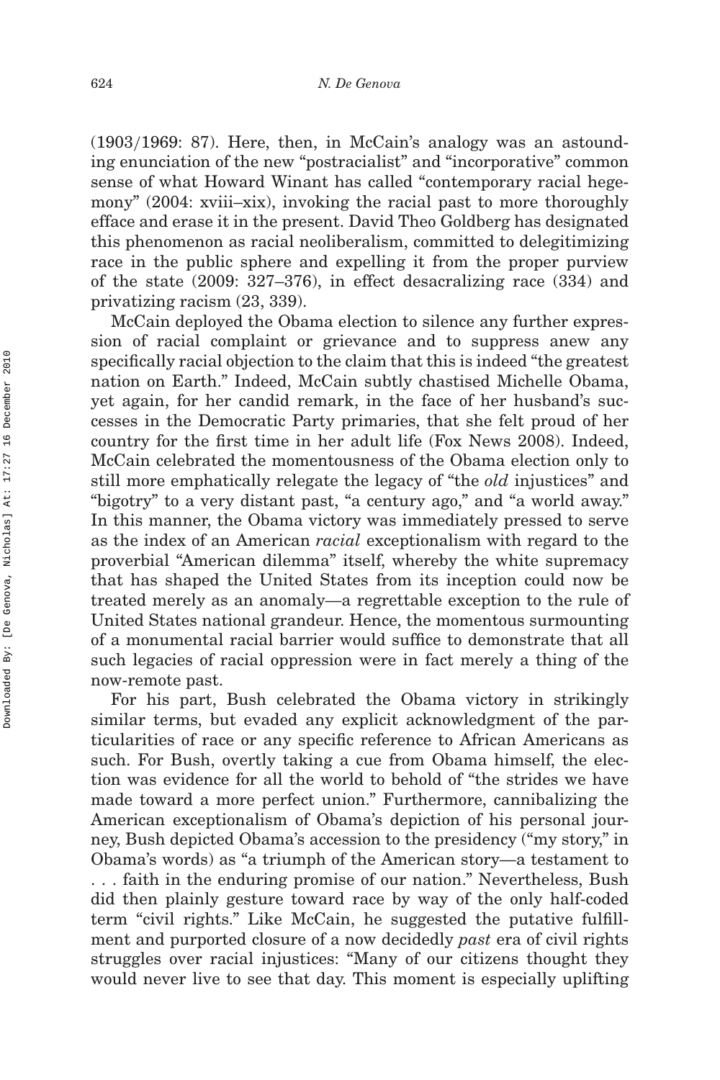(1903*/*1969: 87). Here, then, in McCain's analogy was an astounding enunciation of the new "postracialist" and "incorporative" common sense of what Howard Winant has called "contemporary racial hegemony" (2004: xviii–xix), invoking the racial past to more thoroughly efface and erase it in the present. David Theo Goldberg has designated this phenomenon as racial neoliberalism, committed to delegitimizing race in the public sphere and expelling it from the proper purview of the state (2009: 327–376), in effect desacralizing race (334) and privatizing racism (23, 339).

McCain deployed the Obama election to silence any further expression of racial complaint or grievance and to suppress anew any specifically racial objection to the claim that this is indeed "the greatest nation on Earth." Indeed, McCain subtly chastised Michelle Obama, yet again, for her candid remark, in the face of her husband's successes in the Democratic Party primaries, that she felt proud of her country for the first time in her adult life (Fox News 2008). Indeed, McCain celebrated the momentousness of the Obama election only to still more emphatically relegate the legacy of "the *old* injustices" and "bigotry" to a very distant past, "a century ago," and "a world away." In this manner, the Obama victory was immediately pressed to serve as the index of an American *racial* exceptionalism with regard to the proverbial "American dilemma" itself, whereby the white supremacy that has shaped the United States from its inception could now be treated merely as an anomaly—a regrettable exception to the rule of United States national grandeur. Hence, the momentous surmounting of a monumental racial barrier would suffice to demonstrate that all such legacies of racial oppression were in fact merely a thing of the now-remote past.

For his part, Bush celebrated the Obama victory in strikingly similar terms, but evaded any explicit acknowledgment of the particularities of race or any specific reference to African Americans as such. For Bush, overtly taking a cue from Obama himself, the election was evidence for all the world to behold of "the strides we have made toward a more perfect union." Furthermore, cannibalizing the American exceptionalism of Obama's depiction of his personal journey, Bush depicted Obama's accession to the presidency ("my story," in Obama's words) as "a triumph of the American story—a testament to . . . faith in the enduring promise of our nation." Nevertheless, Bush did then plainly gesture toward race by way of the only half-coded term "civil rights." Like McCain, he suggested the putative fulfillment and purported closure of a now decidedly *past* era of civil rights struggles over racial injustices: "Many of our citizens thought they would never live to see that day. This moment is especially uplifting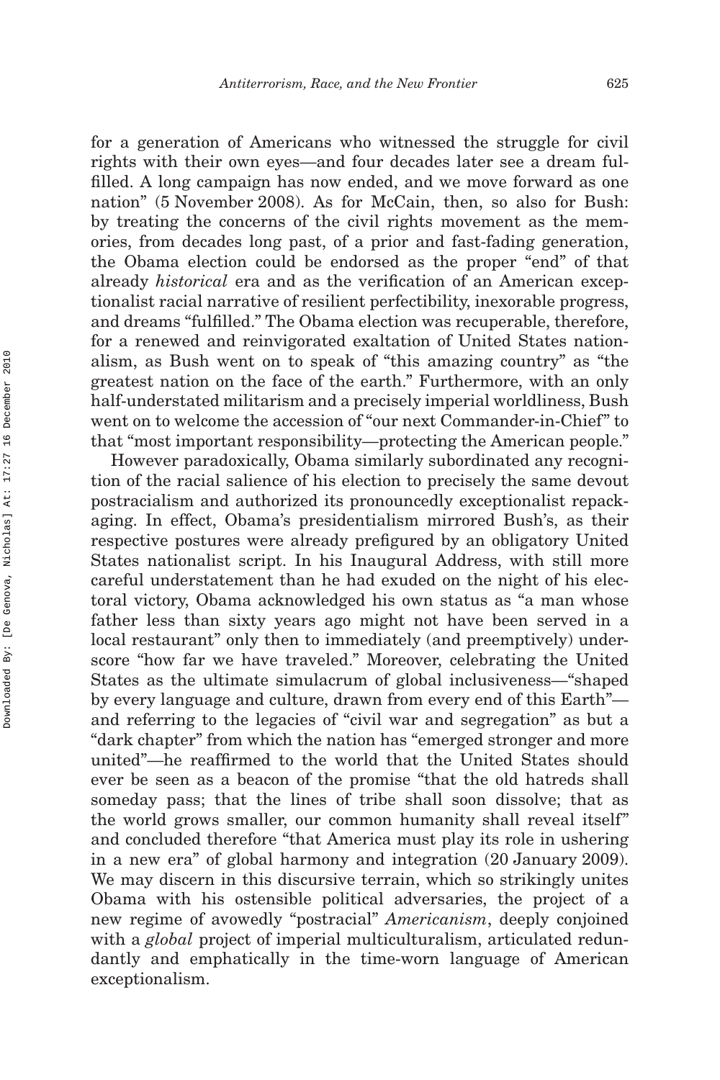for a generation of Americans who witnessed the struggle for civil rights with their own eyes—and four decades later see a dream fulfilled. A long campaign has now ended, and we move forward as one nation" (5 November 2008). As for McCain, then, so also for Bush: by treating the concerns of the civil rights movement as the memories, from decades long past, of a prior and fast-fading generation, the Obama election could be endorsed as the proper "end" of that already *historical* era and as the verification of an American exceptionalist racial narrative of resilient perfectibility, inexorable progress, and dreams "fulfilled." The Obama election was recuperable, therefore, for a renewed and reinvigorated exaltation of United States nationalism, as Bush went on to speak of "this amazing country" as "the greatest nation on the face of the earth." Furthermore, with an only half-understated militarism and a precisely imperial worldliness, Bush went on to welcome the accession of "our next Commander-in-Chief" to that "most important responsibility—protecting the American people."

However paradoxically, Obama similarly subordinated any recognition of the racial salience of his election to precisely the same devout postracialism and authorized its pronouncedly exceptionalist repackaging. In effect, Obama's presidentialism mirrored Bush's, as their respective postures were already prefigured by an obligatory United States nationalist script. In his Inaugural Address, with still more careful understatement than he had exuded on the night of his electoral victory, Obama acknowledged his own status as "a man whose father less than sixty years ago might not have been served in a local restaurant" only then to immediately (and preemptively) underscore "how far we have traveled." Moreover, celebrating the United States as the ultimate simulacrum of global inclusiveness—"shaped by every language and culture, drawn from every end of this Earth" and referring to the legacies of "civil war and segregation" as but a "dark chapter" from which the nation has "emerged stronger and more united"—he reaffirmed to the world that the United States should ever be seen as a beacon of the promise "that the old hatreds shall someday pass; that the lines of tribe shall soon dissolve; that as the world grows smaller, our common humanity shall reveal itself" and concluded therefore "that America must play its role in ushering in a new era" of global harmony and integration (20 January 2009). We may discern in this discursive terrain, which so strikingly unites Obama with his ostensible political adversaries, the project of a new regime of avowedly "postracial" *Americanism*, deeply conjoined with a *global* project of imperial multiculturalism, articulated redundantly and emphatically in the time-worn language of American exceptionalism.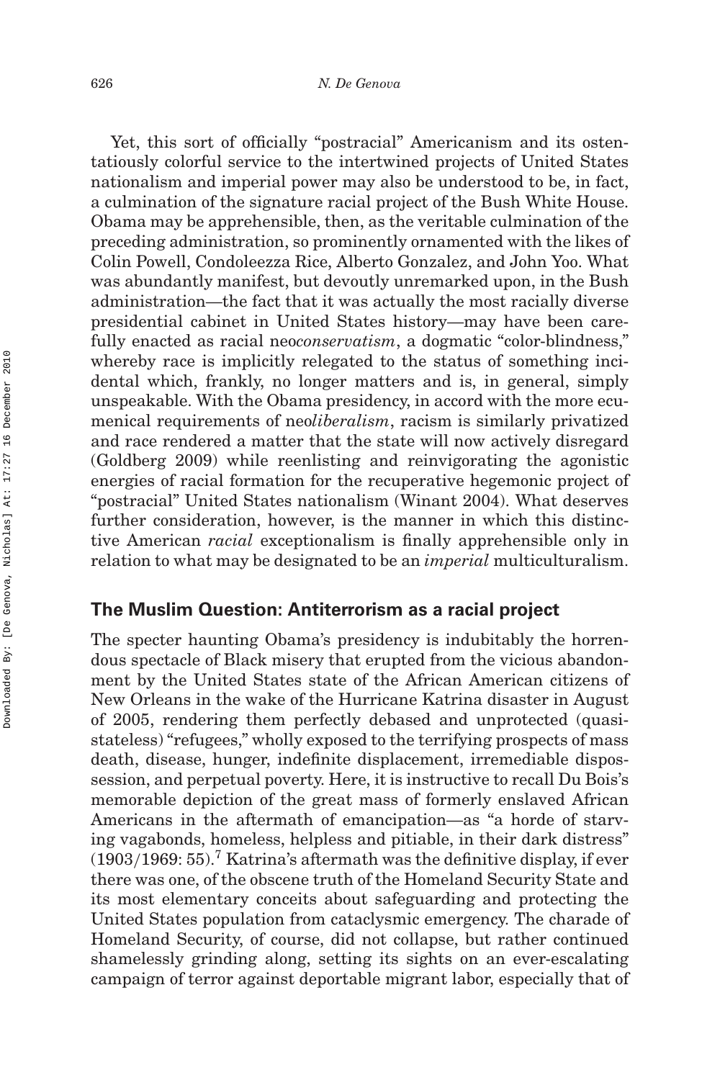Yet, this sort of officially "postracial" Americanism and its ostentatiously colorful service to the intertwined projects of United States nationalism and imperial power may also be understood to be, in fact, a culmination of the signature racial project of the Bush White House. Obama may be apprehensible, then, as the veritable culmination of the preceding administration, so prominently ornamented with the likes of Colin Powell, Condoleezza Rice, Alberto Gonzalez, and John Yoo. What was abundantly manifest, but devoutly unremarked upon, in the Bush administration—the fact that it was actually the most racially diverse presidential cabinet in United States history—may have been carefully enacted as racial neo*conservatism*, a dogmatic "color-blindness," whereby race is implicitly relegated to the status of something incidental which, frankly, no longer matters and is, in general, simply unspeakable. With the Obama presidency, in accord with the more ecumenical requirements of neo*liberalism*, racism is similarly privatized and race rendered a matter that the state will now actively disregard (Goldberg 2009) while reenlisting and reinvigorating the agonistic energies of racial formation for the recuperative hegemonic project of "postracial" United States nationalism (Winant 2004). What deserves further consideration, however, is the manner in which this distinctive American *racial* exceptionalism is finally apprehensible only in relation to what may be designated to be an *imperial* multiculturalism.

#### **The Muslim Question: Antiterrorism as a racial project**

The specter haunting Obama's presidency is indubitably the horrendous spectacle of Black misery that erupted from the vicious abandonment by the United States state of the African American citizens of New Orleans in the wake of the Hurricane Katrina disaster in August of 2005, rendering them perfectly debased and unprotected (quasistateless) "refugees," wholly exposed to the terrifying prospects of mass death, disease, hunger, indefinite displacement, irremediable dispossession, and perpetual poverty. Here, it is instructive to recall Du Bois's memorable depiction of the great mass of formerly enslaved African Americans in the aftermath of emancipation—as "a horde of starving vagabonds, homeless, helpless and pitiable, in their dark distress" (1903*/*1969: 55).<sup>7</sup> Katrina's aftermath was the definitive display, if ever there was one, of the obscene truth of the Homeland Security State and its most elementary conceits about safeguarding and protecting the United States population from cataclysmic emergency. The charade of Homeland Security, of course, did not collapse, but rather continued shamelessly grinding along, setting its sights on an ever-escalating campaign of terror against deportable migrant labor, especially that of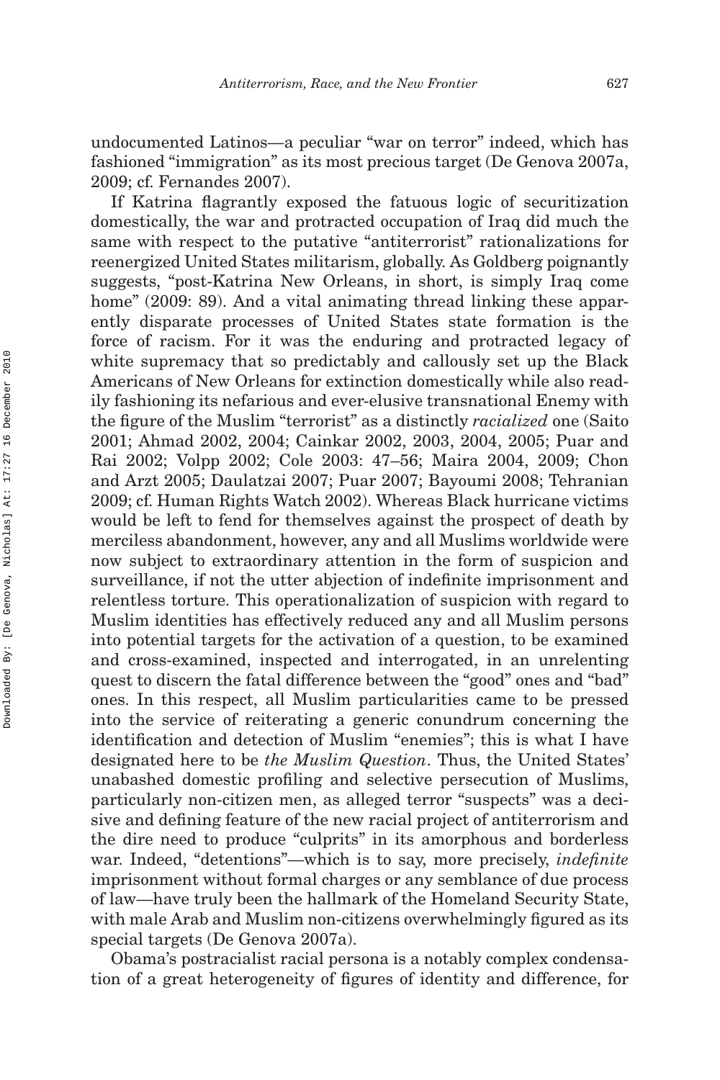undocumented Latinos—a peculiar "war on terror" indeed, which has fashioned "immigration" as its most precious target (De Genova 2007a, 2009; cf. Fernandes 2007).

If Katrina flagrantly exposed the fatuous logic of securitization domestically, the war and protracted occupation of Iraq did much the same with respect to the putative "antiterrorist" rationalizations for reenergized United States militarism, globally. As Goldberg poignantly suggests, "post-Katrina New Orleans, in short, is simply Iraq come home" (2009: 89). And a vital animating thread linking these apparently disparate processes of United States state formation is the force of racism. For it was the enduring and protracted legacy of white supremacy that so predictably and callously set up the Black Americans of New Orleans for extinction domestically while also readily fashioning its nefarious and ever-elusive transnational Enemy with the figure of the Muslim "terrorist" as a distinctly *racialized* one (Saito 2001; Ahmad 2002, 2004; Cainkar 2002, 2003, 2004, 2005; Puar and Rai 2002; Volpp 2002; Cole 2003: 47–56; Maira 2004, 2009; Chon and Arzt 2005; Daulatzai 2007; Puar 2007; Bayoumi 2008; Tehranian 2009; cf. Human Rights Watch 2002). Whereas Black hurricane victims would be left to fend for themselves against the prospect of death by merciless abandonment, however, any and all Muslims worldwide were now subject to extraordinary attention in the form of suspicion and surveillance, if not the utter abjection of indefinite imprisonment and relentless torture. This operationalization of suspicion with regard to Muslim identities has effectively reduced any and all Muslim persons into potential targets for the activation of a question, to be examined and cross-examined, inspected and interrogated, in an unrelenting quest to discern the fatal difference between the "good" ones and "bad" ones. In this respect, all Muslim particularities came to be pressed into the service of reiterating a generic conundrum concerning the identification and detection of Muslim "enemies"; this is what I have designated here to be *the Muslim Question*. Thus, the United States' unabashed domestic profiling and selective persecution of Muslims, particularly non-citizen men, as alleged terror "suspects" was a decisive and defining feature of the new racial project of antiterrorism and the dire need to produce "culprits" in its amorphous and borderless war. Indeed, "detentions"—which is to say, more precisely, *indefinite* imprisonment without formal charges or any semblance of due process of law—have truly been the hallmark of the Homeland Security State, with male Arab and Muslim non-citizens overwhelmingly figured as its special targets (De Genova 2007a).

Obama's postracialist racial persona is a notably complex condensation of a great heterogeneity of figures of identity and difference, for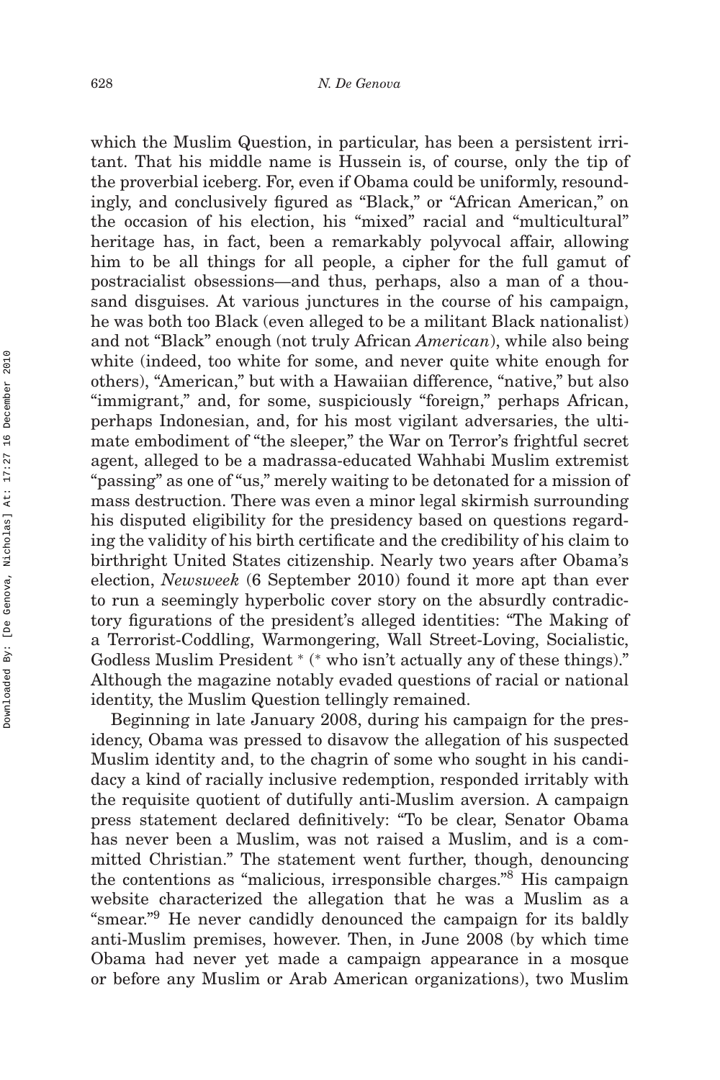which the Muslim Question, in particular, has been a persistent irritant. That his middle name is Hussein is, of course, only the tip of the proverbial iceberg. For, even if Obama could be uniformly, resoundingly, and conclusively figured as "Black," or "African American," on the occasion of his election, his "mixed" racial and "multicultural" heritage has, in fact, been a remarkably polyvocal affair, allowing him to be all things for all people, a cipher for the full gamut of postracialist obsessions—and thus, perhaps, also a man of a thousand disguises. At various junctures in the course of his campaign, he was both too Black (even alleged to be a militant Black nationalist) and not "Black" enough (not truly African *American*), while also being white (indeed, too white for some, and never quite white enough for others), "American," but with a Hawaiian difference, "native," but also "immigrant," and, for some, suspiciously "foreign," perhaps African, perhaps Indonesian, and, for his most vigilant adversaries, the ultimate embodiment of "the sleeper," the War on Terror's frightful secret agent, alleged to be a madrassa-educated Wahhabi Muslim extremist "passing" as one of "us," merely waiting to be detonated for a mission of mass destruction. There was even a minor legal skirmish surrounding his disputed eligibility for the presidency based on questions regarding the validity of his birth certificate and the credibility of his claim to birthright United States citizenship. Nearly two years after Obama's election, *Newsweek* (6 September 2010) found it more apt than ever to run a seemingly hyperbolic cover story on the absurdly contradictory figurations of the president's alleged identities: "The Making of a Terrorist-Coddling, Warmongering, Wall Street-Loving, Socialistic, Godless Muslim President <sup>∗</sup> ( <sup>∗</sup> who isn't actually any of these things)." Although the magazine notably evaded questions of racial or national identity, the Muslim Question tellingly remained.

Beginning in late January 2008, during his campaign for the presidency, Obama was pressed to disavow the allegation of his suspected Muslim identity and, to the chagrin of some who sought in his candidacy a kind of racially inclusive redemption, responded irritably with the requisite quotient of dutifully anti-Muslim aversion. A campaign press statement declared definitively: "To be clear, Senator Obama has never been a Muslim, was not raised a Muslim, and is a committed Christian." The statement went further, though, denouncing the contentions as "malicious, irresponsible charges."8 His campaign website characterized the allegation that he was a Muslim as a "smear."<sup>9</sup> He never candidly denounced the campaign for its baldly anti-Muslim premises, however. Then, in June 2008 (by which time Obama had never yet made a campaign appearance in a mosque or before any Muslim or Arab American organizations), two Muslim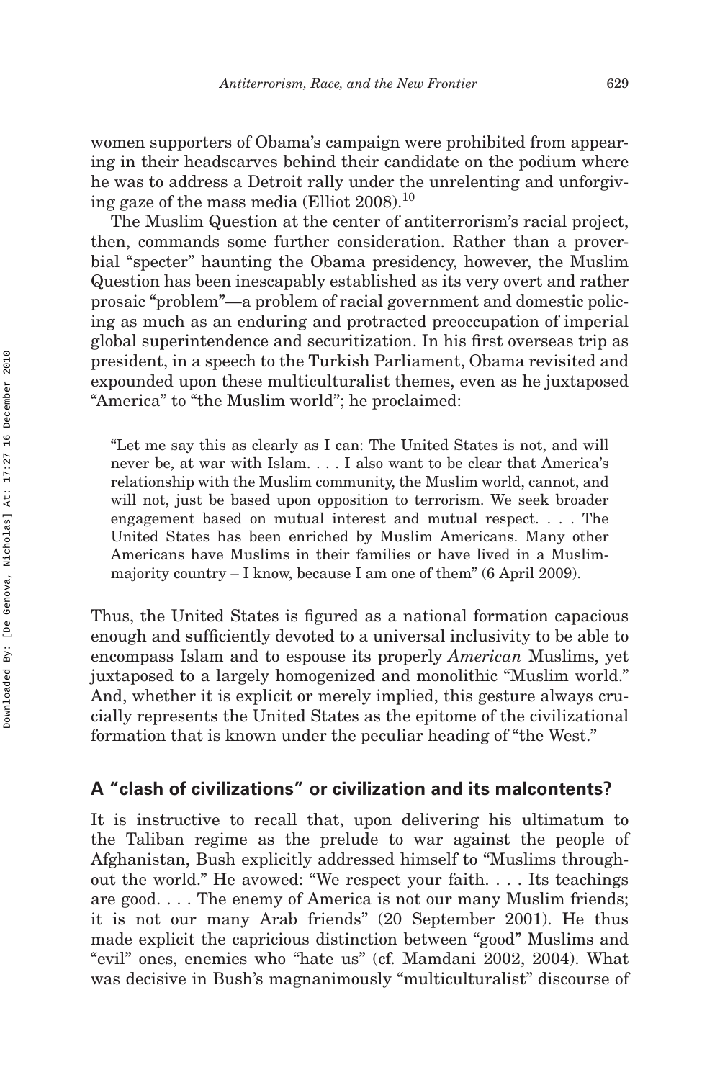women supporters of Obama's campaign were prohibited from appearing in their headscarves behind their candidate on the podium where he was to address a Detroit rally under the unrelenting and unforgiving gaze of the mass media (Elliot 2008).10

The Muslim Question at the center of antiterrorism's racial project, then, commands some further consideration. Rather than a proverbial "specter" haunting the Obama presidency, however, the Muslim Question has been inescapably established as its very overt and rather prosaic "problem"—a problem of racial government and domestic policing as much as an enduring and protracted preoccupation of imperial global superintendence and securitization. In his first overseas trip as president, in a speech to the Turkish Parliament, Obama revisited and expounded upon these multiculturalist themes, even as he juxtaposed "America" to "the Muslim world"; he proclaimed:

"Let me say this as clearly as I can: The United States is not, and will never be, at war with Islam. . . . I also want to be clear that America's relationship with the Muslim community, the Muslim world, cannot, and will not, just be based upon opposition to terrorism. We seek broader engagement based on mutual interest and mutual respect. . . . The United States has been enriched by Muslim Americans. Many other Americans have Muslims in their families or have lived in a Muslimmajority country – I know, because I am one of them" (6 April 2009).

Thus, the United States is figured as a national formation capacious enough and sufficiently devoted to a universal inclusivity to be able to encompass Islam and to espouse its properly *American* Muslims, yet juxtaposed to a largely homogenized and monolithic "Muslim world." And, whether it is explicit or merely implied, this gesture always crucially represents the United States as the epitome of the civilizational formation that is known under the peculiar heading of "the West."

## **A "clash of civilizations" or civilization and its malcontents?**

It is instructive to recall that, upon delivering his ultimatum to the Taliban regime as the prelude to war against the people of Afghanistan, Bush explicitly addressed himself to "Muslims throughout the world." He avowed: "We respect your faith. . . . Its teachings are good. . . . The enemy of America is not our many Muslim friends; it is not our many Arab friends" (20 September 2001). He thus made explicit the capricious distinction between "good" Muslims and "evil" ones, enemies who "hate us" (cf. Mamdani 2002, 2004). What was decisive in Bush's magnanimously "multiculturalist" discourse of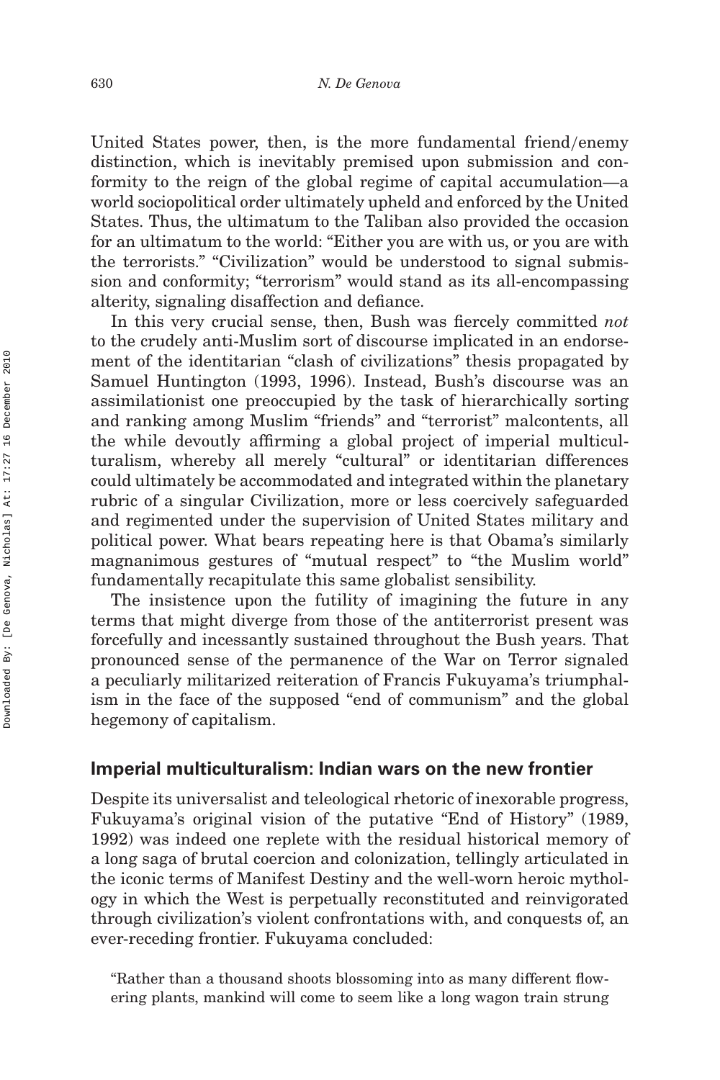United States power, then, is the more fundamental friend*/*enemy distinction, which is inevitably premised upon submission and conformity to the reign of the global regime of capital accumulation—a world sociopolitical order ultimately upheld and enforced by the United States. Thus, the ultimatum to the Taliban also provided the occasion for an ultimatum to the world: "Either you are with us, or you are with the terrorists." "Civilization" would be understood to signal submission and conformity; "terrorism" would stand as its all-encompassing alterity, signaling disaffection and defiance.

In this very crucial sense, then, Bush was fiercely committed *not* to the crudely anti-Muslim sort of discourse implicated in an endorsement of the identitarian "clash of civilizations" thesis propagated by Samuel Huntington (1993, 1996). Instead, Bush's discourse was an assimilationist one preoccupied by the task of hierarchically sorting and ranking among Muslim "friends" and "terrorist" malcontents, all the while devoutly affirming a global project of imperial multiculturalism, whereby all merely "cultural" or identitarian differences could ultimately be accommodated and integrated within the planetary rubric of a singular Civilization, more or less coercively safeguarded and regimented under the supervision of United States military and political power. What bears repeating here is that Obama's similarly magnanimous gestures of "mutual respect" to "the Muslim world" fundamentally recapitulate this same globalist sensibility.

The insistence upon the futility of imagining the future in any terms that might diverge from those of the antiterrorist present was forcefully and incessantly sustained throughout the Bush years. That pronounced sense of the permanence of the War on Terror signaled a peculiarly militarized reiteration of Francis Fukuyama's triumphalism in the face of the supposed "end of communism" and the global hegemony of capitalism.

#### **Imperial multiculturalism: Indian wars on the new frontier**

Despite its universalist and teleological rhetoric of inexorable progress, Fukuyama's original vision of the putative "End of History" (1989, 1992) was indeed one replete with the residual historical memory of a long saga of brutal coercion and colonization, tellingly articulated in the iconic terms of Manifest Destiny and the well-worn heroic mythology in which the West is perpetually reconstituted and reinvigorated through civilization's violent confrontations with, and conquests of, an ever-receding frontier. Fukuyama concluded:

"Rather than a thousand shoots blossoming into as many different flowering plants, mankind will come to seem like a long wagon train strung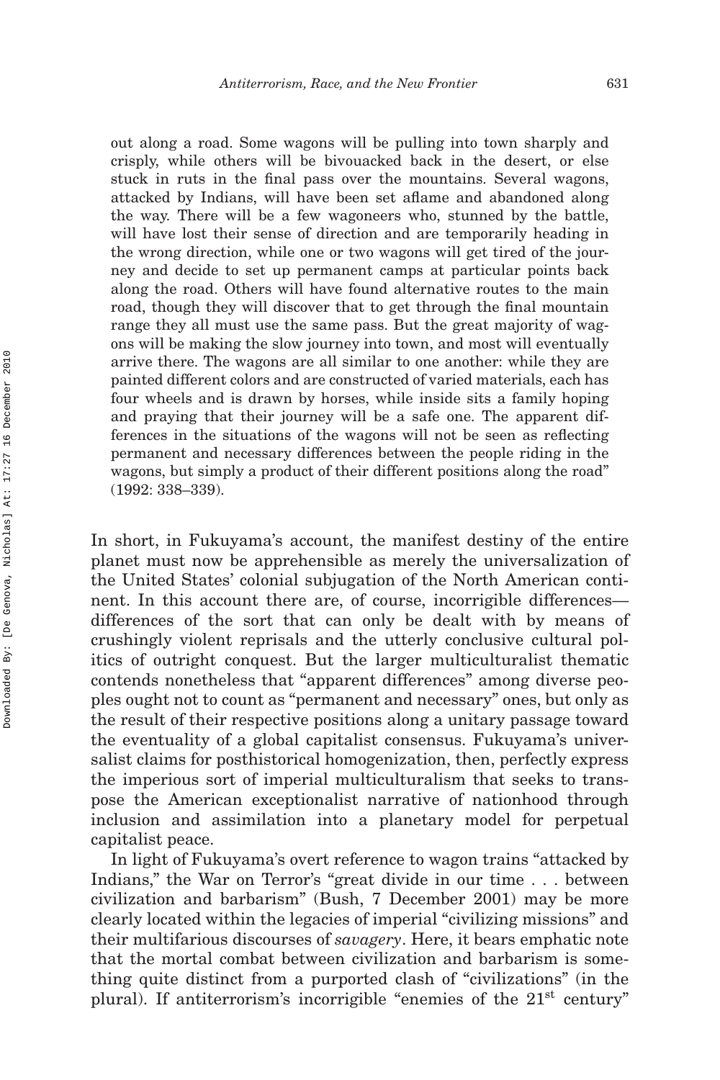out along a road. Some wagons will be pulling into town sharply and crisply, while others will be bivouacked back in the desert, or else stuck in ruts in the final pass over the mountains. Several wagons, attacked by Indians, will have been set aflame and abandoned along the way. There will be a few wagoneers who, stunned by the battle, will have lost their sense of direction and are temporarily heading in the wrong direction, while one or two wagons will get tired of the journey and decide to set up permanent camps at particular points back along the road. Others will have found alternative routes to the main road, though they will discover that to get through the final mountain range they all must use the same pass. But the great majority of wagons will be making the slow journey into town, and most will eventually arrive there. The wagons are all similar to one another: while they are painted different colors and are constructed of varied materials, each has four wheels and is drawn by horses, while inside sits a family hoping and praying that their journey will be a safe one. The apparent differences in the situations of the wagons will not be seen as reflecting permanent and necessary differences between the people riding in the wagons, but simply a product of their different positions along the road" (1992: 338–339).

In short, in Fukuyama's account, the manifest destiny of the entire planet must now be apprehensible as merely the universalization of the United States' colonial subjugation of the North American continent. In this account there are, of course, incorrigible differences differences of the sort that can only be dealt with by means of crushingly violent reprisals and the utterly conclusive cultural politics of outright conquest. But the larger multiculturalist thematic contends nonetheless that "apparent differences" among diverse peoples ought not to count as "permanent and necessary" ones, but only as the result of their respective positions along a unitary passage toward the eventuality of a global capitalist consensus. Fukuyama's universalist claims for posthistorical homogenization, then, perfectly express the imperious sort of imperial multiculturalism that seeks to transpose the American exceptionalist narrative of nationhood through inclusion and assimilation into a planetary model for perpetual capitalist peace.

In light of Fukuyama's overt reference to wagon trains "attacked by Indians," the War on Terror's "great divide in our time . . . between civilization and barbarism" (Bush, 7 December 2001) may be more clearly located within the legacies of imperial "civilizing missions" and their multifarious discourses of *savagery*. Here, it bears emphatic note that the mortal combat between civilization and barbarism is something quite distinct from a purported clash of "civilizations" (in the plural). If antiterrorism's incorrigible "enemies of the 21<sup>st</sup> century"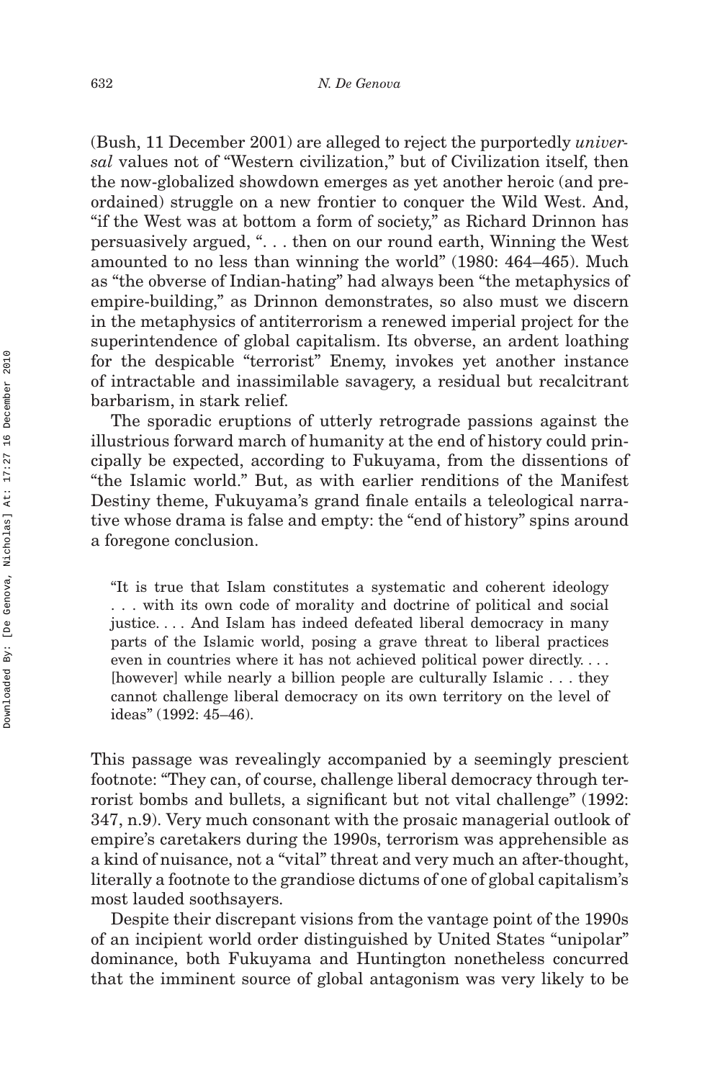(Bush, 11 December 2001) are alleged to reject the purportedly *universal* values not of "Western civilization," but of Civilization itself, then the now-globalized showdown emerges as yet another heroic (and preordained) struggle on a new frontier to conquer the Wild West. And, "if the West was at bottom a form of society," as Richard Drinnon has persuasively argued, ". . . then on our round earth, Winning the West amounted to no less than winning the world" (1980: 464–465). Much as "the obverse of Indian-hating" had always been "the metaphysics of empire-building," as Drinnon demonstrates, so also must we discern in the metaphysics of antiterrorism a renewed imperial project for the superintendence of global capitalism. Its obverse, an ardent loathing for the despicable "terrorist" Enemy, invokes yet another instance of intractable and inassimilable savagery, a residual but recalcitrant barbarism, in stark relief.

The sporadic eruptions of utterly retrograde passions against the illustrious forward march of humanity at the end of history could principally be expected, according to Fukuyama, from the dissentions of "the Islamic world." But, as with earlier renditions of the Manifest Destiny theme, Fukuyama's grand finale entails a teleological narrative whose drama is false and empty: the "end of history" spins around a foregone conclusion.

"It is true that Islam constitutes a systematic and coherent ideology . . . with its own code of morality and doctrine of political and social justice. . . . And Islam has indeed defeated liberal democracy in many parts of the Islamic world, posing a grave threat to liberal practices even in countries where it has not achieved political power directly.... [however] while nearly a billion people are culturally Islamic . . . they cannot challenge liberal democracy on its own territory on the level of ideas" (1992: 45–46).

This passage was revealingly accompanied by a seemingly prescient footnote: "They can, of course, challenge liberal democracy through terrorist bombs and bullets, a significant but not vital challenge" (1992: 347, n.9). Very much consonant with the prosaic managerial outlook of empire's caretakers during the 1990s, terrorism was apprehensible as a kind of nuisance, not a "vital" threat and very much an after-thought, literally a footnote to the grandiose dictums of one of global capitalism's most lauded soothsayers.

Despite their discrepant visions from the vantage point of the 1990s of an incipient world order distinguished by United States "unipolar" dominance, both Fukuyama and Huntington nonetheless concurred that the imminent source of global antagonism was very likely to be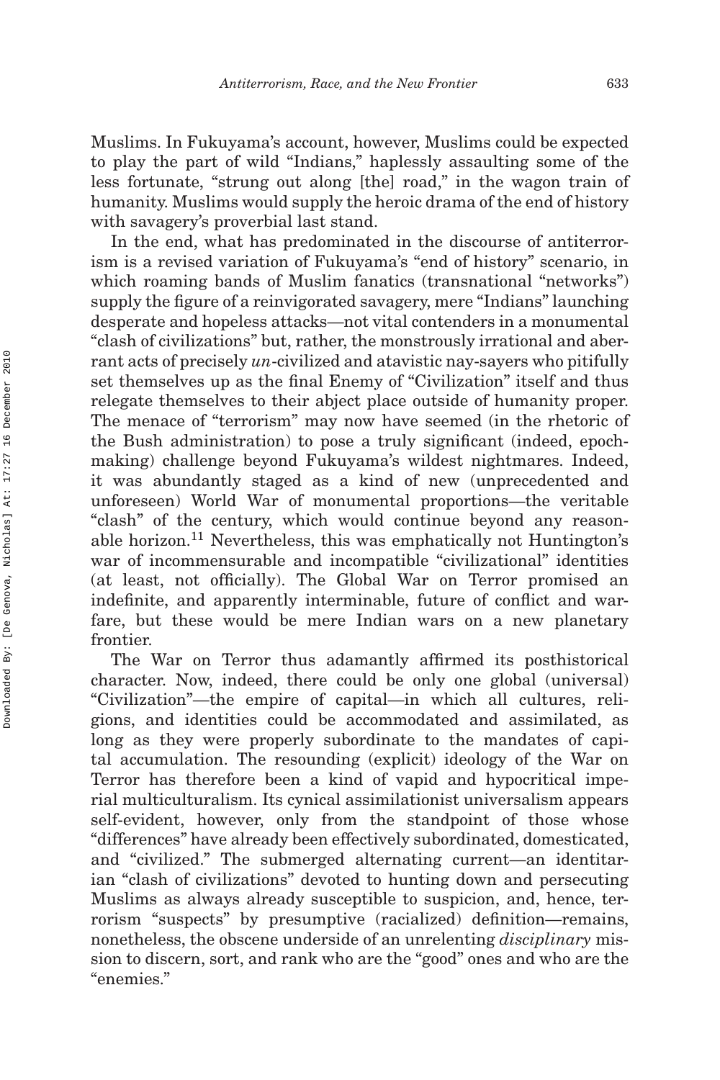Muslims. In Fukuyama's account, however, Muslims could be expected to play the part of wild "Indians," haplessly assaulting some of the less fortunate, "strung out along [the] road," in the wagon train of humanity. Muslims would supply the heroic drama of the end of history with savagery's proverbial last stand.

In the end, what has predominated in the discourse of antiterrorism is a revised variation of Fukuyama's "end of history" scenario, in which roaming bands of Muslim fanatics (transnational "networks") supply the figure of a reinvigorated savagery, mere "Indians" launching desperate and hopeless attacks—not vital contenders in a monumental "clash of civilizations" but, rather, the monstrously irrational and aberrant acts of precisely *un*-civilized and atavistic nay-sayers who pitifully set themselves up as the final Enemy of "Civilization" itself and thus relegate themselves to their abject place outside of humanity proper. The menace of "terrorism" may now have seemed (in the rhetoric of the Bush administration) to pose a truly significant (indeed, epochmaking) challenge beyond Fukuyama's wildest nightmares. Indeed, it was abundantly staged as a kind of new (unprecedented and unforeseen) World War of monumental proportions—the veritable "clash" of the century, which would continue beyond any reasonable horizon.<sup>11</sup> Nevertheless, this was emphatically not Huntington's war of incommensurable and incompatible "civilizational" identities (at least, not officially). The Global War on Terror promised an indefinite, and apparently interminable, future of conflict and warfare, but these would be mere Indian wars on a new planetary frontier.

The War on Terror thus adamantly affirmed its posthistorical character. Now, indeed, there could be only one global (universal) "Civilization"—the empire of capital—in which all cultures, religions, and identities could be accommodated and assimilated, as long as they were properly subordinate to the mandates of capital accumulation. The resounding (explicit) ideology of the War on Terror has therefore been a kind of vapid and hypocritical imperial multiculturalism. Its cynical assimilationist universalism appears self-evident, however, only from the standpoint of those whose "differences" have already been effectively subordinated, domesticated, and "civilized." The submerged alternating current—an identitarian "clash of civilizations" devoted to hunting down and persecuting Muslims as always already susceptible to suspicion, and, hence, terrorism "suspects" by presumptive (racialized) definition—remains, nonetheless, the obscene underside of an unrelenting *disciplinary* mission to discern, sort, and rank who are the "good" ones and who are the "enemies."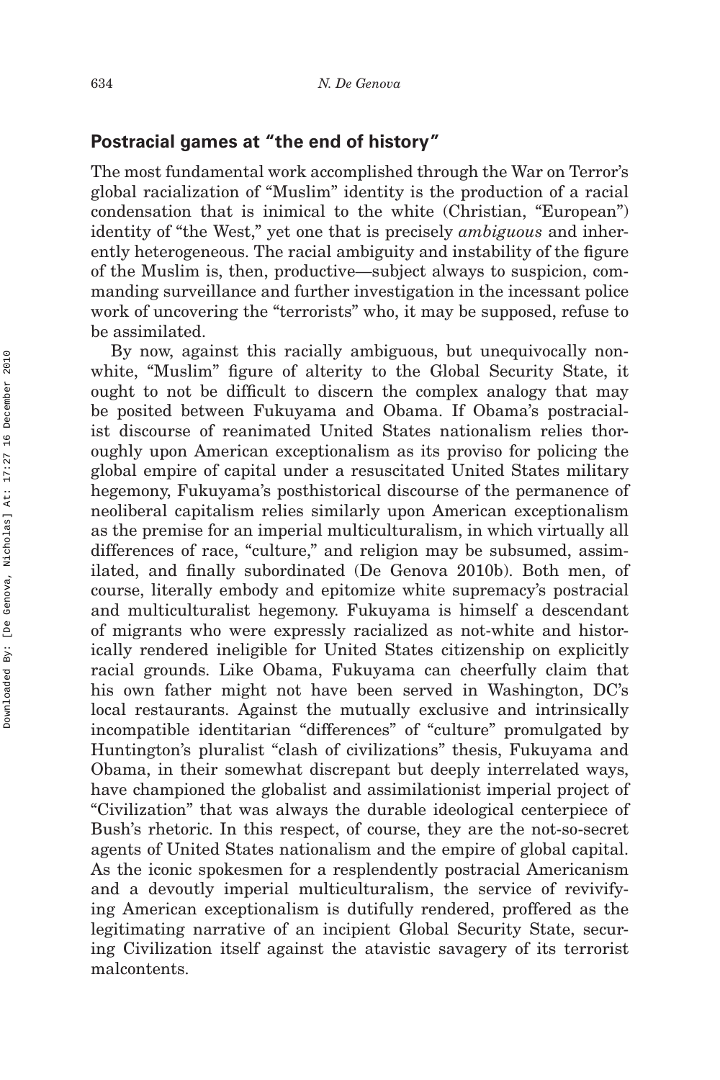#### **Postracial games at "the end of history"**

The most fundamental work accomplished through the War on Terror's global racialization of "Muslim" identity is the production of a racial condensation that is inimical to the white (Christian, "European") identity of "the West," yet one that is precisely *ambiguous* and inherently heterogeneous. The racial ambiguity and instability of the figure of the Muslim is, then, productive—subject always to suspicion, commanding surveillance and further investigation in the incessant police work of uncovering the "terrorists" who, it may be supposed, refuse to be assimilated.

By now, against this racially ambiguous, but unequivocally nonwhite, "Muslim" figure of alterity to the Global Security State, it ought to not be difficult to discern the complex analogy that may be posited between Fukuyama and Obama. If Obama's postracialist discourse of reanimated United States nationalism relies thoroughly upon American exceptionalism as its proviso for policing the global empire of capital under a resuscitated United States military hegemony, Fukuyama's posthistorical discourse of the permanence of neoliberal capitalism relies similarly upon American exceptionalism as the premise for an imperial multiculturalism, in which virtually all differences of race, "culture," and religion may be subsumed, assimilated, and finally subordinated (De Genova 2010b). Both men, of course, literally embody and epitomize white supremacy's postracial and multiculturalist hegemony. Fukuyama is himself a descendant of migrants who were expressly racialized as not-white and historically rendered ineligible for United States citizenship on explicitly racial grounds. Like Obama, Fukuyama can cheerfully claim that his own father might not have been served in Washington, DC's local restaurants. Against the mutually exclusive and intrinsically incompatible identitarian "differences" of "culture" promulgated by Huntington's pluralist "clash of civilizations" thesis, Fukuyama and Obama, in their somewhat discrepant but deeply interrelated ways, have championed the globalist and assimilationist imperial project of "Civilization" that was always the durable ideological centerpiece of Bush's rhetoric. In this respect, of course, they are the not-so-secret agents of United States nationalism and the empire of global capital. As the iconic spokesmen for a resplendently postracial Americanism and a devoutly imperial multiculturalism, the service of revivifying American exceptionalism is dutifully rendered, proffered as the legitimating narrative of an incipient Global Security State, securing Civilization itself against the atavistic savagery of its terrorist malcontents.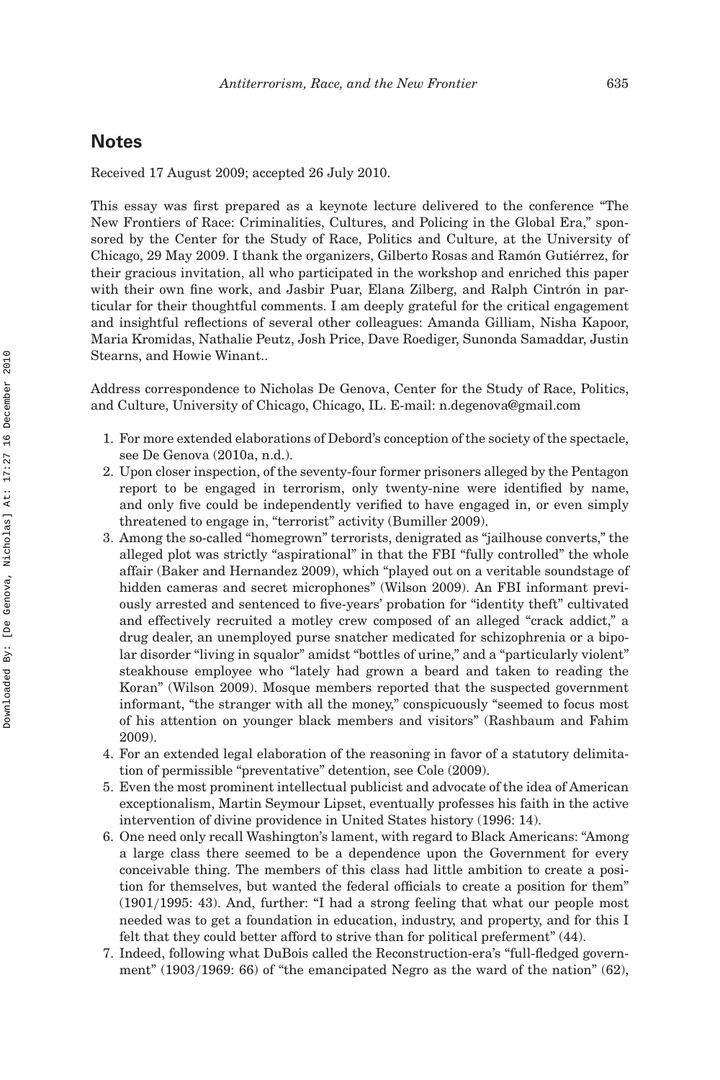## **Notes**

Received 17 August 2009; accepted 26 July 2010.

This essay was first prepared as a keynote lecture delivered to the conference "The New Frontiers of Race: Criminalities, Cultures, and Policing in the Global Era," sponsored by the Center for the Study of Race, Politics and Culture, at the University of Chicago, 29 May 2009. I thank the organizers, Gilberto Rosas and Ramón Gutiérrez, for their gracious invitation, all who participated in the workshop and enriched this paper with their own fine work, and Jasbir Puar, Elana Zilberg, and Ralph Cintrón in particular for their thoughtful comments. I am deeply grateful for the critical engagement and insightful reflections of several other colleagues: Amanda Gilliam, Nisha Kapoor, Maria Kromidas, Nathalie Peutz, Josh Price, Dave Roediger, Sunonda Samaddar, Justin Stearns, and Howie Winant..

Address correspondence to Nicholas De Genova, Center for the Study of Race, Politics, and Culture, University of Chicago, Chicago, IL. E-mail: n.degenova@gmail.com

- 1. For more extended elaborations of Debord's conception of the society of the spectacle, see De Genova (2010a, n.d.).
- 2. Upon closer inspection, of the seventy-four former prisoners alleged by the Pentagon report to be engaged in terrorism, only twenty-nine were identified by name, and only five could be independently verified to have engaged in, or even simply threatened to engage in, "terrorist" activity (Bumiller 2009).
- 3. Among the so-called "homegrown" terrorists, denigrated as "jailhouse converts," the alleged plot was strictly "aspirational" in that the FBI "fully controlled" the whole affair (Baker and Hernandez 2009), which "played out on a veritable soundstage of hidden cameras and secret microphones" (Wilson 2009). An FBI informant previously arrested and sentenced to five-years' probation for "identity theft" cultivated and effectively recruited a motley crew composed of an alleged "crack addict," a drug dealer, an unemployed purse snatcher medicated for schizophrenia or a bipolar disorder "living in squalor" amidst "bottles of urine," and a "particularly violent" steakhouse employee who "lately had grown a beard and taken to reading the Koran" (Wilson 2009). Mosque members reported that the suspected government informant, "the stranger with all the money," conspicuously "seemed to focus most of his attention on younger black members and visitors" (Rashbaum and Fahim 2009).
- 4. For an extended legal elaboration of the reasoning in favor of a statutory delimitation of permissible "preventative" detention, see Cole (2009).
- 5. Even the most prominent intellectual publicist and advocate of the idea of American exceptionalism, Martin Seymour Lipset, eventually professes his faith in the active intervention of divine providence in United States history (1996: 14).
- 6. One need only recall Washington's lament, with regard to Black Americans: "Among a large class there seemed to be a dependence upon the Government for every conceivable thing. The members of this class had little ambition to create a position for themselves, but wanted the federal officials to create a position for them" (1901*/*1995: 43). And, further: "I had a strong feeling that what our people most needed was to get a foundation in education, industry, and property, and for this I felt that they could better afford to strive than for political preferment" (44).
- 7. Indeed, following what DuBois called the Reconstruction-era's "full-fledged government" (1903*/*1969: 66) of "the emancipated Negro as the ward of the nation" (62),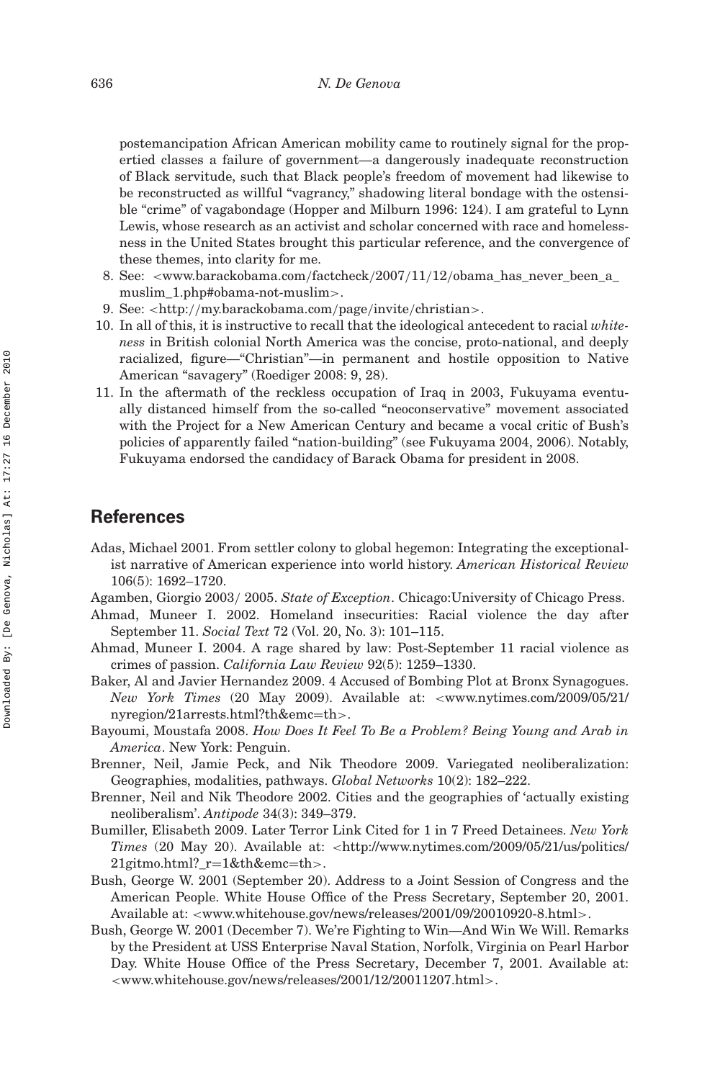postemancipation African American mobility came to routinely signal for the propertied classes a failure of government—a dangerously inadequate reconstruction of Black servitude, such that Black people's freedom of movement had likewise to be reconstructed as willful "vagrancy," shadowing literal bondage with the ostensible "crime" of vagabondage (Hopper and Milburn 1996: 124). I am grateful to Lynn Lewis, whose research as an activist and scholar concerned with race and homelessness in the United States brought this particular reference, and the convergence of these themes, into clarity for me.

- 8. See: *<*www.barackobama.com*/*factcheck*/*2007*/*11*/*12*/*obama\_has\_never\_been\_a\_ muslim\_1.php#obama-not-muslim*>*.
- 9. See: *<*http:*//*my.barackobama.com*/*page*/*invite*/*christian*>*.
- 10. In all of this, it is instructive to recall that the ideological antecedent to racial *whiteness* in British colonial North America was the concise, proto-national, and deeply racialized, figure—"Christian"—in permanent and hostile opposition to Native American "savagery" (Roediger 2008: 9, 28).
- 11. In the aftermath of the reckless occupation of Iraq in 2003, Fukuyama eventually distanced himself from the so-called "neoconservative" movement associated with the Project for a New American Century and became a vocal critic of Bush's policies of apparently failed "nation-building" (see Fukuyama 2004, 2006). Notably, Fukuyama endorsed the candidacy of Barack Obama for president in 2008.

#### **References**

- Adas, Michael 2001. From settler colony to global hegemon: Integrating the exceptionalist narrative of American experience into world history. *American Historical Review* 106(5): 1692–1720.
- Agamben, Giorgio 2003*/* 2005. *State of Exception*. Chicago:University of Chicago Press.
- Ahmad, Muneer I. 2002. Homeland insecurities: Racial violence the day after September 11. *Social Text* 72 (Vol. 20, No. 3): 101–115.
- Ahmad, Muneer I. 2004. A rage shared by law: Post-September 11 racial violence as crimes of passion. *California Law Review* 92(5): 1259–1330.
- Baker, Al and Javier Hernandez 2009. 4 Accused of Bombing Plot at Bronx Synagogues. *New York Times* (20 May 2009). Available at: *<*www.nytimes.com/2009/05/21/ nyregion/21arrests.html?th&emc=th*>*.
- Bayoumi, Moustafa 2008. *How Does It Feel To Be a Problem? Being Young and Arab in America*. New York: Penguin.
- Brenner, Neil, Jamie Peck, and Nik Theodore 2009. Variegated neoliberalization: Geographies, modalities, pathways. *Global Networks* 10(2): 182–222.
- Brenner, Neil and Nik Theodore 2002. Cities and the geographies of 'actually existing neoliberalism'. *Antipode* 34(3): 349–379.
- Bumiller, Elisabeth 2009. Later Terror Link Cited for 1 in 7 Freed Detainees. *New York Times* (20 May 20). Available at: *<*http://www.nytimes.com/2009/05/21/us/politics/ 21gitmo.html?\_r=1&th&emc=th*>*.
- Bush, George W. 2001 (September 20). Address to a Joint Session of Congress and the American People. White House Office of the Press Secretary, September 20, 2001. Available at: *<*www.whitehouse.gov/news/releases/2001/09/20010920-8.html*>*.
- Bush, George W. 2001 (December 7). We're Fighting to Win—And Win We Will. Remarks by the President at USS Enterprise Naval Station, Norfolk, Virginia on Pearl Harbor Day. White House Office of the Press Secretary, December 7, 2001. Available at: *<*www.whitehouse.gov/news/releases/2001/12/20011207.html*>*.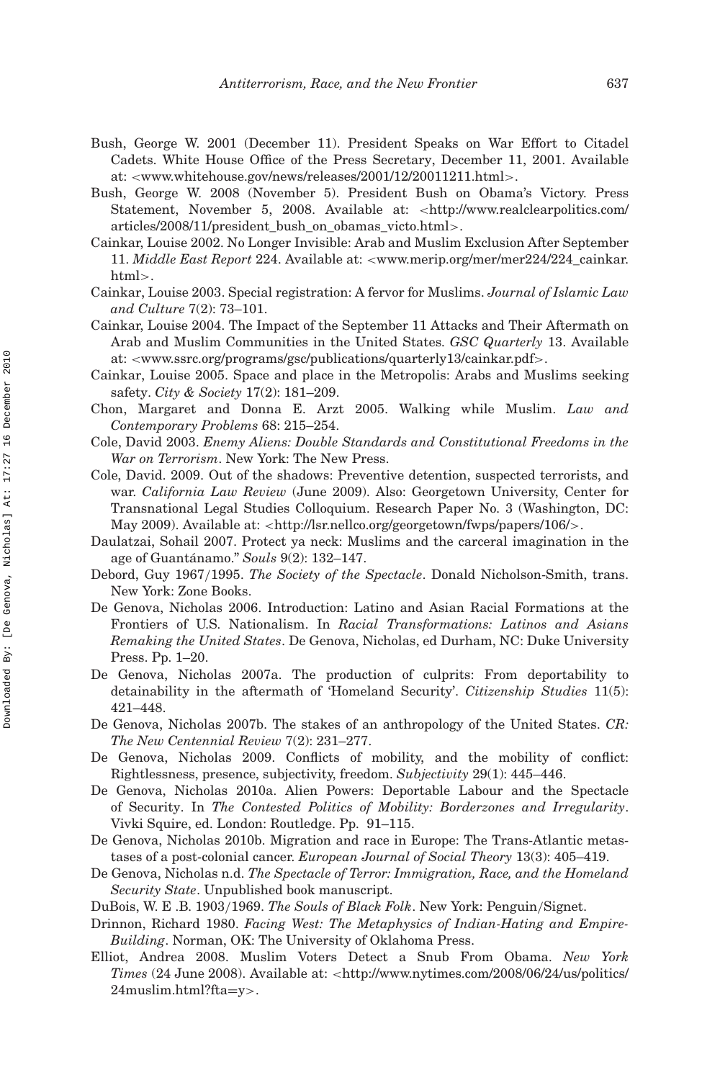- Bush, George W. 2001 (December 11). President Speaks on War Effort to Citadel Cadets. White House Office of the Press Secretary, December 11, 2001. Available at: *<*www.whitehouse.gov/news/releases/2001/12/20011211.html*>*.
- Bush, George W. 2008 (November 5). President Bush on Obama's Victory. Press Statement, November 5, 2008. Available at: *<*http://www.realclearpolitics.com/ articles/2008/11/president\_bush\_on\_obamas\_victo.html*>*.
- Cainkar, Louise 2002. No Longer Invisible: Arab and Muslim Exclusion After September 11. *Middle East Report* 224. Available at: *<*www.merip.org/mer/mer224/224\_cainkar. html*>*.
- Cainkar, Louise 2003. Special registration: A fervor for Muslims. *Journal of Islamic Law and Culture* 7(2): 73–101.
- Cainkar, Louise 2004. The Impact of the September 11 Attacks and Their Aftermath on Arab and Muslim Communities in the United States. *GSC Quarterly* 13. Available at: *<*www.ssrc.org/programs/gsc/publications/quarterly13/cainkar.pdf*>*.
- Cainkar, Louise 2005. Space and place in the Metropolis: Arabs and Muslims seeking safety. *City & Society* 17(2): 181–209.
- Chon, Margaret and Donna E. Arzt 2005. Walking while Muslim. *Law and Contemporary Problems* 68: 215–254.
- Cole, David 2003. *Enemy Aliens: Double Standards and Constitutional Freedoms in the War on Terrorism*. New York: The New Press.
- Cole, David. 2009. Out of the shadows: Preventive detention, suspected terrorists, and war. *California Law Review* (June 2009). Also: Georgetown University, Center for Transnational Legal Studies Colloquium. Research Paper No. 3 (Washington, DC: May 2009). Available at: *<*http://lsr.nellco.org/georgetown/fwps/papers/106/*>*.
- Daulatzai, Sohail 2007. Protect ya neck: Muslims and the carceral imagination in the age of Guantánamo." *Souls* 9(2): 132–147.
- Debord, Guy 1967*/*1995. *The Society of the Spectacle*. Donald Nicholson-Smith, trans. New York: Zone Books.
- De Genova, Nicholas 2006. Introduction: Latino and Asian Racial Formations at the Frontiers of U.S. Nationalism. In *Racial Transformations: Latinos and Asians Remaking the United States*. De Genova, Nicholas, ed Durham, NC: Duke University Press. Pp. 1–20.
- De Genova, Nicholas 2007a. The production of culprits: From deportability to detainability in the aftermath of 'Homeland Security'. *Citizenship Studies* 11(5): 421–448.
- De Genova, Nicholas 2007b. The stakes of an anthropology of the United States. *CR: The New Centennial Review* 7(2): 231–277.
- De Genova, Nicholas 2009. Conflicts of mobility, and the mobility of conflict: Rightlessness, presence, subjectivity, freedom. *Subjectivity* 29(1): 445–446.
- De Genova, Nicholas 2010a. Alien Powers: Deportable Labour and the Spectacle of Security. In *The Contested Politics of Mobility: Borderzones and Irregularity*. Vivki Squire, ed. London: Routledge. Pp. 91–115.
- De Genova, Nicholas 2010b. Migration and race in Europe: The Trans-Atlantic metastases of a post-colonial cancer. *European Journal of Social Theory* 13(3): 405–419.
- De Genova, Nicholas n.d. *The Spectacle of Terror: Immigration, Race, and the Homeland Security State*. Unpublished book manuscript.
- DuBois, W. E .B. 1903*/*1969. *The Souls of Black Folk*. New York: Penguin*/*Signet.
- Drinnon, Richard 1980. *Facing West: The Metaphysics of Indian-Hating and Empire-Building*. Norman, OK: The University of Oklahoma Press.
- Elliot, Andrea 2008. Muslim Voters Detect a Snub From Obama. *New York Times* (24 June 2008). Available at: *<*http://www.nytimes.com/2008/06/24/us/politics/ 24muslim.html?fta=y*>*.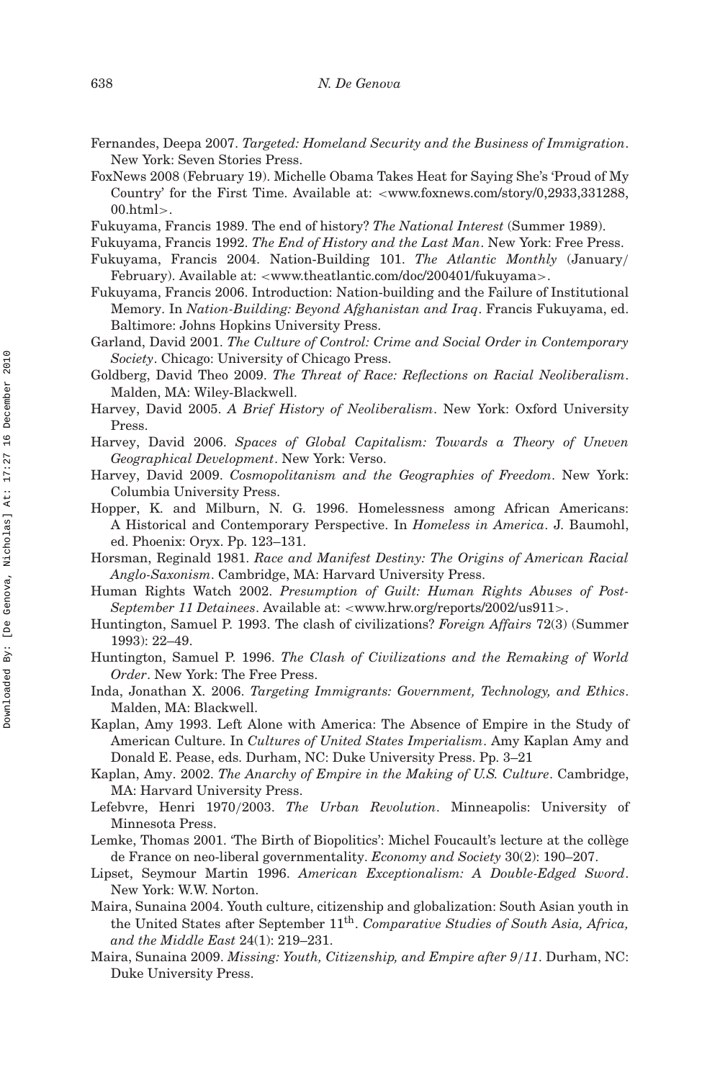- Fernandes, Deepa 2007. *Targeted: Homeland Security and the Business of Immigration*. New York: Seven Stories Press.
- FoxNews 2008 (February 19). Michelle Obama Takes Heat for Saying She's 'Proud of My Country' for the First Time. Available at: *<*www.foxnews.com/story/0,2933,331288, 00.html*>*.
- Fukuyama, Francis 1989. The end of history? *The National Interest* (Summer 1989).
- Fukuyama, Francis 1992. *The End of History and the Last Man*. New York: Free Press.
- Fukuyama, Francis 2004. Nation-Building 101. *The Atlantic Monthly* (January*/* February). Available at: *<*www.theatlantic.com/doc/200401/fukuyama*>*.
- Fukuyama, Francis 2006. Introduction: Nation-building and the Failure of Institutional Memory. In *Nation-Building: Beyond Afghanistan and Iraq*. Francis Fukuyama, ed. Baltimore: Johns Hopkins University Press.
- Garland, David 2001. *The Culture of Control: Crime and Social Order in Contemporary Society*. Chicago: University of Chicago Press.
- Goldberg, David Theo 2009. *The Threat of Race: Reflections on Racial Neoliberalism*. Malden, MA: Wiley-Blackwell.
- Harvey, David 2005. *A Brief History of Neoliberalism*. New York: Oxford University Press.
- Harvey, David 2006. *Spaces of Global Capitalism: Towards a Theory of Uneven Geographical Development*. New York: Verso.
- Harvey, David 2009. *Cosmopolitanism and the Geographies of Freedom*. New York: Columbia University Press.
- Hopper, K. and Milburn, N. G. 1996. Homelessness among African Americans: A Historical and Contemporary Perspective. In *Homeless in America*. J. Baumohl, ed. Phoenix: Oryx. Pp. 123–131.
- Horsman, Reginald 1981. *Race and Manifest Destiny: The Origins of American Racial Anglo-Saxonism*. Cambridge, MA: Harvard University Press.
- Human Rights Watch 2002. *Presumption of Guilt: Human Rights Abuses of Post-September 11 Detainees*. Available at: *<*www.hrw.org/reports/2002/us911*>*.
- Huntington, Samuel P. 1993. The clash of civilizations? *Foreign Affairs* 72(3) (Summer 1993): 22–49.
- Huntington, Samuel P. 1996. *The Clash of Civilizations and the Remaking of World Order*. New York: The Free Press.
- Inda, Jonathan X. 2006. *Targeting Immigrants: Government, Technology, and Ethics*. Malden, MA: Blackwell.
- Kaplan, Amy 1993. Left Alone with America: The Absence of Empire in the Study of American Culture. In *Cultures of United States Imperialism*. Amy Kaplan Amy and Donald E. Pease, eds. Durham, NC: Duke University Press. Pp. 3–21
- Kaplan, Amy. 2002. *The Anarchy of Empire in the Making of U.S. Culture*. Cambridge, MA: Harvard University Press.
- Lefebvre, Henri 1970*/*2003. *The Urban Revolution*. Minneapolis: University of Minnesota Press.
- Lemke, Thomas 2001. 'The Birth of Biopolitics': Michel Foucault's lecture at the collège de France on neo-liberal governmentality. *Economy and Society* 30(2): 190–207.
- Lipset, Seymour Martin 1996. *American Exceptionalism: A Double-Edged Sword*. New York: W.W. Norton.
- Maira, Sunaina 2004. Youth culture, citizenship and globalization: South Asian youth in the United States after September 11th. *Comparative Studies of South Asia, Africa, and the Middle East* 24(1): 219–231.
- Maira, Sunaina 2009. *Missing: Youth, Citizenship, and Empire after 9/11*. Durham, NC: Duke University Press.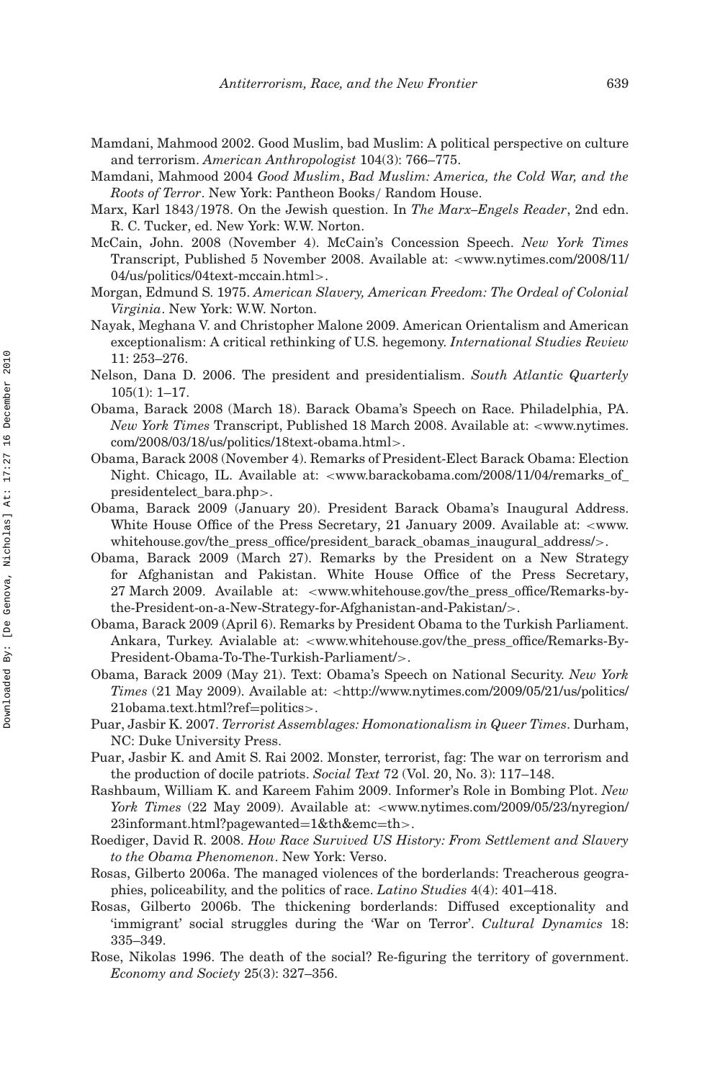- Mamdani, Mahmood 2002. Good Muslim, bad Muslim: A political perspective on culture and terrorism. *American Anthropologist* 104(3): 766–775.
- Mamdani, Mahmood 2004 *Good Muslim*, *Bad Muslim: America, the Cold War, and the Roots of Terror*. New York: Pantheon Books*/* Random House.
- Marx, Karl 1843*/*1978. On the Jewish question. In *The Marx–Engels Reader*, 2nd edn. R. C. Tucker, ed. New York: W.W. Norton.
- McCain, John. 2008 (November 4). McCain's Concession Speech. *New York Times* Transcript, Published 5 November 2008. Available at: *<*www.nytimes.com/2008/11/ 04/us/politics/04text-mccain.html*>*.
- Morgan, Edmund S. 1975. *American Slavery, American Freedom: The Ordeal of Colonial Virginia*. New York: W.W. Norton.
- Nayak, Meghana V. and Christopher Malone 2009. American Orientalism and American exceptionalism: A critical rethinking of U.S. hegemony. *International Studies Review* 11: 253–276.
- Nelson, Dana D. 2006. The president and presidentialism. *South Atlantic Quarterly* 105(1): 1–17.
- Obama, Barack 2008 (March 18). Barack Obama's Speech on Race. Philadelphia, PA. *New York Times* Transcript, Published 18 March 2008. Available at: *<*www.nytimes. com/2008/03/18/us/politics/18text-obama.html*>*.
- Obama, Barack 2008 (November 4). Remarks of President-Elect Barack Obama: Election Night. Chicago, IL. Available at: *<*www.barackobama.com/2008/11/04/remarks\_of\_ presidentelect\_bara.php*>*.
- Obama, Barack 2009 (January 20). President Barack Obama's Inaugural Address. White House Office of the Press Secretary, 21 January 2009. Available at: *<*www. whitehouse.gov/the\_press\_office/president\_barack\_obamas\_inaugural\_address/*>*.
- Obama, Barack 2009 (March 27). Remarks by the President on a New Strategy for Afghanistan and Pakistan. White House Office of the Press Secretary, 27 March 2009. Available at: *<*www.whitehouse.gov/the\_press\_office/Remarks-bythe-President-on-a-New-Strategy-for-Afghanistan-and-Pakistan/*>*.
- Obama, Barack 2009 (April 6). Remarks by President Obama to the Turkish Parliament. Ankara, Turkey. Avialable at: *<*www.whitehouse.gov/the\_press\_office/Remarks-By-President-Obama-To-The-Turkish-Parliament/*>*.
- Obama, Barack 2009 (May 21). Text: Obama's Speech on National Security. *New York Times* (21 May 2009). Available at: *<*http://www.nytimes.com/2009/05/21/us/politics/ 21obama.text.html?ref=politics*>*.
- Puar, Jasbir K. 2007. *Terrorist Assemblages: Homonationalism in Queer Times*. Durham, NC: Duke University Press.
- Puar, Jasbir K. and Amit S. Rai 2002. Monster, terrorist, fag: The war on terrorism and the production of docile patriots. *Social Text* 72 (Vol. 20, No. 3): 117–148.
- Rashbaum, William K. and Kareem Fahim 2009. Informer's Role in Bombing Plot. *New York Times* (22 May 2009). Available at: *<*www.nytimes.com/2009/05/23/nyregion/ 23informant.html?pagewanted=1&th&emc=th*>*.
- Roediger, David R. 2008. *How Race Survived US History: From Settlement and Slavery to the Obama Phenomenon*. New York: Verso.
- Rosas, Gilberto 2006a. The managed violences of the borderlands: Treacherous geographies, policeability, and the politics of race. *Latino Studies* 4(4): 401–418.
- Rosas, Gilberto 2006b. The thickening borderlands: Diffused exceptionality and 'immigrant' social struggles during the 'War on Terror'. *Cultural Dynamics* 18: 335–349.
- Rose, Nikolas 1996. The death of the social? Re-figuring the territory of government. *Economy and Society* 25(3): 327–356.